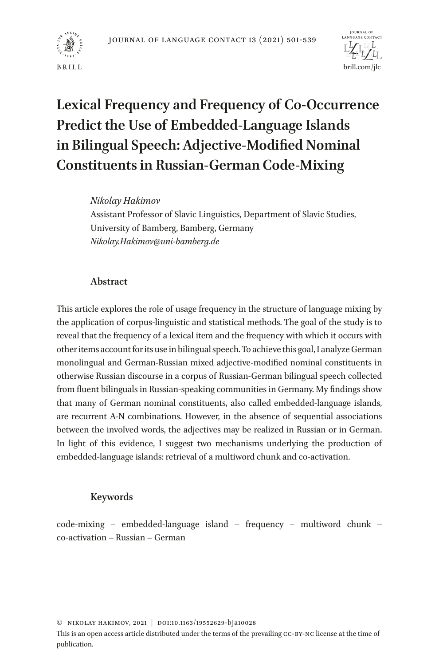



# **Lexical Frequency and Frequency of Co-Occurrence Predict the Use of Embedded-Language Islands in Bilingual Speech: Adjective-Modified Nominal Constituents in Russian-German Code-Mixing**

## *Nikolay Hakimov*

Assistant Professor of Slavic Linguistics, Department of Slavic Studies, University of Bamberg, Bamberg, Germany *Nikolay.Hakimov@uni-bamberg.de*

# **Abstract**

This article explores the role of usage frequency in the structure of language mixing by the application of corpus-linguistic and statistical methods. The goal of the study is to reveal that the frequency of a lexical item and the frequency with which it occurs with other items account for its use in bilingual speech. To achieve this goal, I analyze German monolingual and German-Russian mixed adjective-modified nominal constituents in otherwise Russian discourse in a corpus of Russian-German bilingual speech collected from fluent bilinguals in Russian-speaking communities in Germany. My findings show that many of German nominal constituents, also called embedded-language islands, are recurrent A-N combinations. However, in the absence of sequential associations between the involved words, the adjectives may be realized in Russian or in German. In light of this evidence, I suggest two mechanisms underlying the production of embedded-language islands: retrieval of a multiword chunk and co-activation.

# **Keywords**

code-mixing – embedded-language island – frequency – multiword chunk – co-activation – Russian – German

© Nikolay Hakimov, 2021 | doi:10.1163/19552629-bja10028

This is an open access article distributed under the terms of the prevailing cc-by-nc license at the time of publication.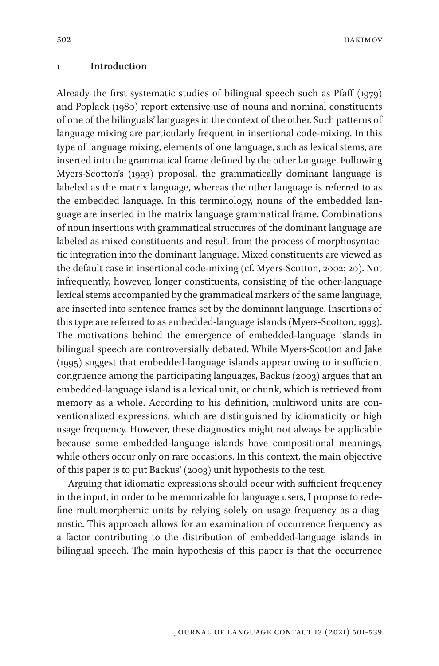hakimov

### **1 Introduction**

Already the first systematic studies of bilingual speech such as Pfaff (1979) and Poplack (1980) report extensive use of nouns and nominal constituents of one of the bilinguals' languages in the context of the other. Such patterns of language mixing are particularly frequent in insertional code-mixing. In this type of language mixing, elements of one language, such as lexical stems, are inserted into the grammatical frame defined by the other language. Following Myers-Scotton's (1993) proposal, the grammatically dominant language is labeled as the matrix language, whereas the other language is referred to as the embedded language. In this terminology, nouns of the embedded language are inserted in the matrix language grammatical frame. Combinations of noun insertions with grammatical structures of the dominant language are labeled as mixed constituents and result from the process of morphosyntactic integration into the dominant language. Mixed constituents are viewed as the default case in insertional code-mixing (cf. Myers-Scotton, 2002: 20). Not infrequently, however, longer constituents, consisting of the other-language lexical stems accompanied by the grammatical markers of the same language, are inserted into sentence frames set by the dominant language. Insertions of this type are referred to as embedded-language islands (Myers-Scotton, 1993). The motivations behind the emergence of embedded-language islands in bilingual speech are controversially debated. While Myers-Scotton and Jake (1995) suggest that embedded-language islands appear owing to insufficient congruence among the participating languages, Backus (2003) argues that an embedded-language island is a lexical unit, or chunk, which is retrieved from memory as a whole. According to his definition, multiword units are conventionalized expressions, which are distinguished by idiomaticity or high usage frequency. However, these diagnostics might not always be applicable because some embedded-language islands have compositional meanings, while others occur only on rare occasions. In this context, the main objective of this paper is to put Backus' (2003) unit hypothesis to the test.

Arguing that idiomatic expressions should occur with sufficient frequency in the input, in order to be memorizable for language users, I propose to redefine multimorphemic units by relying solely on usage frequency as a diagnostic. This approach allows for an examination of occurrence frequency as a factor contributing to the distribution of embedded-language islands in bilingual speech. The main hypothesis of this paper is that the occurrence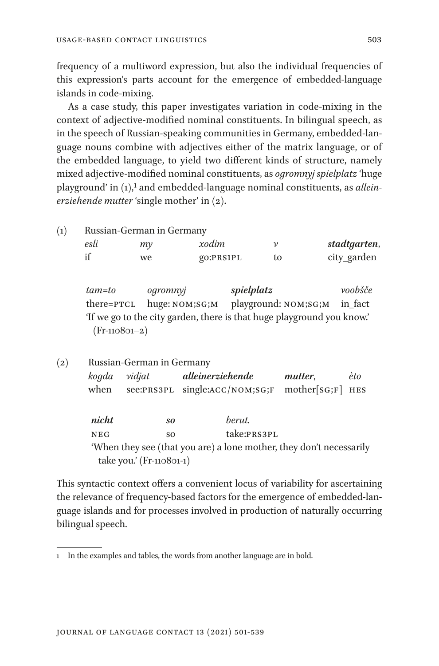frequency of a multiword expression, but also the individual frequencies of this expression's parts account for the emergence of embedded-language islands in code-mixing.

As a case study, this paper investigates variation in code-mixing in the context of adjective-modified nominal constituents. In bilingual speech, as in the speech of Russian-speaking communities in Germany, embedded-language nouns combine with adjectives either of the matrix language, or of the embedded language, to yield two different kinds of structure, namely mixed adjective-modified nominal constituents, as *ogromnyj spielplatz* 'huge playground' in (1),1 and embedded-language nominal constituents, as *alleinerziehende mutter* 'single mother' in (2).

(1) Russian-German in Germany *esli my xodim v stadtgarten*, if we go:prs1pl to city\_garden

*tam=to ogromnyj spielplatz voobšče* there=ptcl huge: nom;sg;m playground: nom;sg;m in\_fact 'If we go to the city garden, there is that huge playground you know.' (Fr-110801–2)

(2) Russian-German in Germany *kogda vidjat alleinerziehende mutter*, *èto* when see:PRS3PL single:ACC/NOM;SG;F mother[SG;F] HES

> *nicht so berut.* neg so take:prs3pl 'When they see (that you are) a lone mother, they don't necessarily take you.' (Fr-110801-1)

This syntactic context offers a convenient locus of variability for ascertaining the relevance of frequency-based factors for the emergence of embedded-language islands and for processes involved in production of naturally occurring bilingual speech.

<sup>1</sup> In the examples and tables, the words from another language are in bold.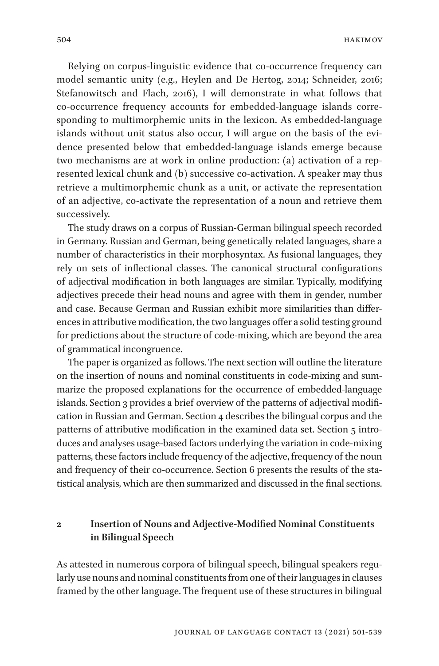Relying on corpus-linguistic evidence that co-occurrence frequency can model semantic unity (e.g., Heylen and De Hertog, 2014; Schneider, 2016; Stefanowitsch and Flach, 2016), I will demonstrate in what follows that co-occurrence frequency accounts for embedded-language islands corresponding to multimorphemic units in the lexicon. As embedded-language islands without unit status also occur, I will argue on the basis of the evidence presented below that embedded-language islands emerge because two mechanisms are at work in online production: (a) activation of a represented lexical chunk and (b) successive co-activation. A speaker may thus retrieve a multimorphemic chunk as a unit, or activate the representation of an adjective, co-activate the representation of a noun and retrieve them successively.

The study draws on a corpus of Russian-German bilingual speech recorded in Germany. Russian and German, being genetically related languages, share a number of characteristics in their morphosyntax. As fusional languages, they rely on sets of inflectional classes. The canonical structural configurations of adjectival modification in both languages are similar. Typically, modifying adjectives precede their head nouns and agree with them in gender, number and case. Because German and Russian exhibit more similarities than differences in attributive modification, the two languages offer a solid testing ground for predictions about the structure of code-mixing, which are beyond the area of grammatical incongruence.

The paper is organized as follows. The next section will outline the literature on the insertion of nouns and nominal constituents in code-mixing and summarize the proposed explanations for the occurrence of embedded-language islands. Section 3 provides a brief overview of the patterns of adjectival modification in Russian and German. Section 4 describes the bilingual corpus and the patterns of attributive modification in the examined data set. Section 5 introduces and analyses usage-based factors underlying the variation in code-mixing patterns, these factors include frequency of the adjective, frequency of the noun and frequency of their co-occurrence. Section 6 presents the results of the statistical analysis, which are then summarized and discussed in the final sections.

# **2 Insertion of Nouns and Adjective-Modified Nominal Constituents in Bilingual Speech**

As attested in numerous corpora of bilingual speech, bilingual speakers regularly use nouns and nominal constituents from one of their languages in clauses framed by the other language. The frequent use of these structures in bilingual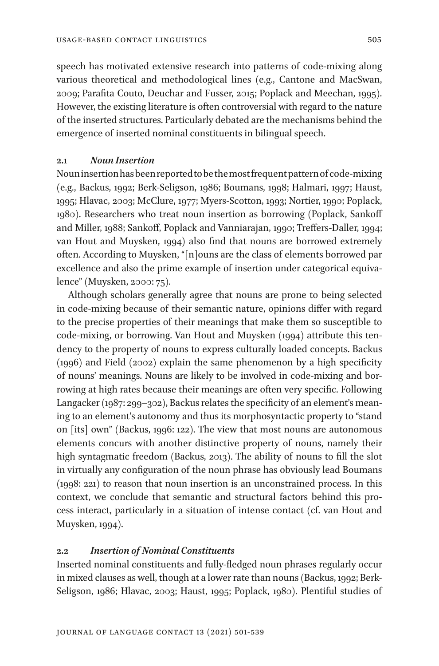speech has motivated extensive research into patterns of code-mixing along various theoretical and methodological lines (e.g., Cantone and MacSwan, 2009; Parafita Couto, Deuchar and Fusser, 2015; Poplack and Meechan, 1995). However, the existing literature is often controversial with regard to the nature of the inserted structures. Particularly debated are the mechanisms behind the emergence of inserted nominal constituents in bilingual speech.

## **2.1** *Noun Insertion*

Noun insertion has been reported to be the most frequent pattern of code-mixing (e.g., Backus, 1992; Berk-Seligson, 1986; Boumans, 1998; Halmari, 1997; Haust, 1995; Hlavac, 2003; McClure, 1977; Myers-Scotton, 1993; Nortier, 1990; Poplack, 1980). Researchers who treat noun insertion as borrowing (Poplack, Sankoff and Miller, 1988; Sankoff, Poplack and Vanniarajan, 1990; Treffers-Daller, 1994; van Hout and Muysken, 1994) also find that nouns are borrowed extremely often. According to Muysken, "[n]ouns are the class of elements borrowed par excellence and also the prime example of insertion under categorical equivalence" (Muysken, 2000: 75).

Although scholars generally agree that nouns are prone to being selected in code-mixing because of their semantic nature, opinions differ with regard to the precise properties of their meanings that make them so susceptible to code-mixing, or borrowing. Van Hout and Muysken (1994) attribute this tendency to the property of nouns to express culturally loaded concepts. Backus (1996) and Field (2002) explain the same phenomenon by a high specificity of nouns' meanings. Nouns are likely to be involved in code-mixing and borrowing at high rates because their meanings are often very specific. Following Langacker (1987: 299–302), Backus relates the specificity of an element's meaning to an element's autonomy and thus its morphosyntactic property to "stand on [its] own" (Backus, 1996: 122). The view that most nouns are autonomous elements concurs with another distinctive property of nouns, namely their high syntagmatic freedom (Backus, 2013). The ability of nouns to fill the slot in virtually any configuration of the noun phrase has obviously lead Boumans (1998: 221) to reason that noun insertion is an unconstrained process. In this context, we conclude that semantic and structural factors behind this process interact, particularly in a situation of intense contact (cf. van Hout and Muysken, 1994).

### **2.2** *Insertion of Nominal Constituents*

Inserted nominal constituents and fully-fledged noun phrases regularly occur in mixed clauses as well, though at a lower rate than nouns (Backus, 1992; Berk-Seligson, 1986; Hlavac, 2003; Haust, 1995; Poplack, 1980). Plentiful studies of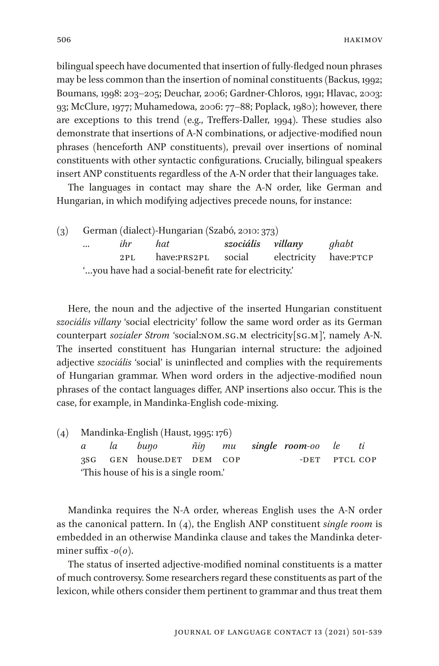bilingual speech have documented that insertion of fully-fledged noun phrases may be less common than the insertion of nominal constituents (Backus, 1992; Boumans, 1998: 203–205; Deuchar, 2006; Gardner-Chloros, 1991; Hlavac, 2003: 93; McClure, 1977; Muhamedowa, 2006: 77–88; Poplack, 1980); however, there are exceptions to this trend (e.g., Treffers-Daller, 1994). These studies also demonstrate that insertions of A-N combinations, or adjective-modified noun phrases (henceforth ANP constituents), prevail over insertions of nominal constituents with other syntactic configurations. Crucially, bilingual speakers insert ANP constituents regardless of the A-N order that their languages take.

The languages in contact may share the A-N order, like German and Hungarian, in which modifying adjectives precede nouns, for instance:

| (3) |                                                        |     | German (dialect)-Hungarian (Szabó, 2010: 373) |                   |  |       |
|-----|--------------------------------------------------------|-----|-----------------------------------------------|-------------------|--|-------|
|     | $\cdots$                                               | ihr | hat                                           | szociális villany |  | ghabt |
|     |                                                        |     | 2PL have:PRS2PL social electricity have:PTCP  |                   |  |       |
|     | " you have had a social-benefit rate for electricity." |     |                                               |                   |  |       |

Here, the noun and the adjective of the inserted Hungarian constituent *szociális villany* 'social electricity' follow the same word order as its German counterpart *sozialer Strom* 'social:nom.sg.m electricity[sg.m]', namely A-N. The inserted constituent has Hungarian internal structure: the adjoined adjective *szociális* 'social' is uninflected and complies with the requirements of Hungarian grammar. When word orders in the adjective-modified noun phrases of the contact languages differ, ANP insertions also occur. This is the case, for example, in Mandinka-English code-mixing.

| (4) | Mandinka-English (Haust, 1995: 176)   |  |                                        |  |  |               |  |
|-----|---------------------------------------|--|----------------------------------------|--|--|---------------|--|
|     |                                       |  | a la buyo niiy mu single room-oo le ti |  |  |               |  |
|     |                                       |  | 3SG GEN house.DET DEM COP              |  |  | -DET PTCL COP |  |
|     | 'This house of his is a single room.' |  |                                        |  |  |               |  |

Mandinka requires the N-A order, whereas English uses the A-N order as the canonical pattern. In (4), the English ANP constituent *single room* is embedded in an otherwise Mandinka clause and takes the Mandinka determiner suffix -*o(o)*.

The status of inserted adjective-modified nominal constituents is a matter of much controversy. Some researchers regard these constituents as part of the lexicon, while others consider them pertinent to grammar and thus treat them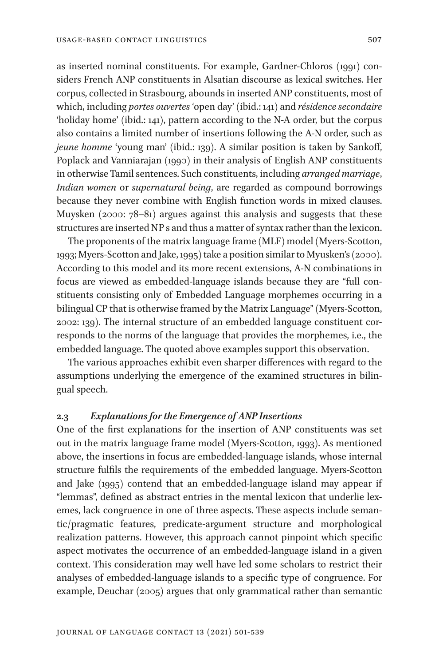as inserted nominal constituents. For example, Gardner-Chloros (1991) considers French ANP constituents in Alsatian discourse as lexical switches. Her corpus, collected in Strasbourg, abounds in inserted ANP constituents, most of which, including *portes ouvertes* 'open day' (ibid.: 141) and *résidence secondaire* 'holiday home' (ibid.: 141), pattern according to the N-A order, but the corpus also contains a limited number of insertions following the A-N order, such as *jeune homme* 'young man' (ibid.: 139). A similar position is taken by Sankoff, Poplack and Vanniarajan (1990) in their analysis of English ANP constituents in otherwise Tamil sentences. Such constituents, including *arranged marriage*, *Indian women* or *supernatural being*, are regarded as compound borrowings because they never combine with English function words in mixed clauses. Muysken (2000: 78–81) argues against this analysis and suggests that these structures are inserted NP s and thus a matter of syntax rather than the lexicon.

The proponents of the matrix language frame (MLF) model (Myers-Scotton, 1993; Myers-Scotton and Jake, 1995) take a position similar to Myusken's (2000). According to this model and its more recent extensions, A-N combinations in focus are viewed as embedded-language islands because they are "full constituents consisting only of Embedded Language morphemes occurring in a bilingual CP that is otherwise framed by the Matrix Language" (Myers-Scotton, 2002: 139). The internal structure of an embedded language constituent corresponds to the norms of the language that provides the morphemes, i.e., the embedded language. The quoted above examples support this observation.

The various approaches exhibit even sharper differences with regard to the assumptions underlying the emergence of the examined structures in bilingual speech.

### **2.3** *Explanations for the Emergence of ANP Insertions*

One of the first explanations for the insertion of ANP constituents was set out in the matrix language frame model (Myers-Scotton, 1993). As mentioned above, the insertions in focus are embedded-language islands, whose internal structure fulfils the requirements of the embedded language. Myers-Scotton and Jake (1995) contend that an embedded-language island may appear if "lemmas", defined as abstract entries in the mental lexicon that underlie lexemes, lack congruence in one of three aspects. These aspects include semantic/pragmatic features, predicate-argument structure and morphological realization patterns. However, this approach cannot pinpoint which specific aspect motivates the occurrence of an embedded-language island in a given context. This consideration may well have led some scholars to restrict their analyses of embedded-language islands to a specific type of congruence. For example, Deuchar (2005) argues that only grammatical rather than semantic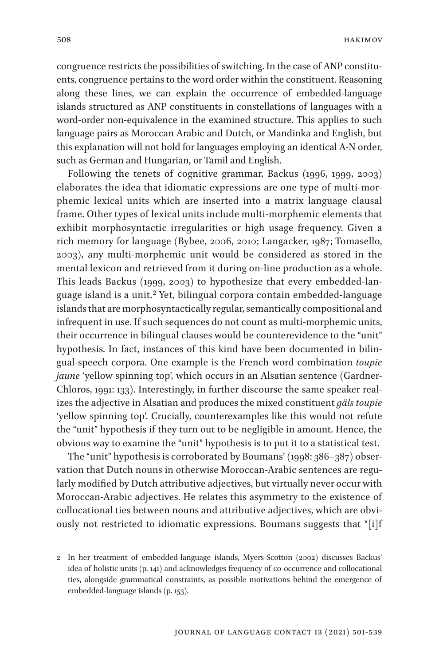congruence restricts the possibilities of switching. In the case of ANP constituents, congruence pertains to the word order within the constituent. Reasoning along these lines, we can explain the occurrence of embedded-language islands structured as ANP constituents in constellations of languages with a word-order non-equivalence in the examined structure. This applies to such language pairs as Moroccan Arabic and Dutch, or Mandinka and English, but this explanation will not hold for languages employing an identical A-N order, such as German and Hungarian, or Tamil and English.

Following the tenets of cognitive grammar, Backus (1996, 1999, 2003) elaborates the idea that idiomatic expressions are one type of multi-morphemic lexical units which are inserted into a matrix language clausal frame. Other types of lexical units include multi-morphemic elements that exhibit morphosyntactic irregularities or high usage frequency. Given a rich memory for language (Bybee, 2006, 2010; Langacker, 1987; Tomasello, 2003), any multi-morphemic unit would be considered as stored in the mental lexicon and retrieved from it during on-line production as a whole. This leads Backus (1999, 2003) to hypothesize that every embedded-language island is a unit.2 Yet, bilingual corpora contain embedded-language islands that are morphosyntactically regular, semantically compositional and infrequent in use. If such sequences do not count as multi-morphemic units, their occurrence in bilingual clauses would be counterevidence to the "unit" hypothesis. In fact, instances of this kind have been documented in bilingual-speech corpora. One example is the French word combination *toupie jaune* 'yellow spinning top', which occurs in an Alsatian sentence (Gardner-Chloros, 1991: 133). Interestingly, in further discourse the same speaker realizes the adjective in Alsatian and produces the mixed constituent *gäls toupie* 'yellow spinning top'. Crucially, counterexamples like this would not refute the "unit" hypothesis if they turn out to be negligible in amount. Hence, the obvious way to examine the "unit" hypothesis is to put it to a statistical test.

The "unit" hypothesis is corroborated by Boumans' (1998: 386–387) observation that Dutch nouns in otherwise Moroccan-Arabic sentences are regularly modified by Dutch attributive adjectives, but virtually never occur with Moroccan-Arabic adjectives. He relates this asymmetry to the existence of collocational ties between nouns and attributive adjectives, which are obviously not restricted to idiomatic expressions. Boumans suggests that "[i]f

<sup>2</sup> In her treatment of embedded-language islands, Myers-Scotton (2002) discusses Backus' idea of holistic units (p. 141) and acknowledges frequency of co-occurrence and collocational ties, alongside grammatical constraints, as possible motivations behind the emergence of embedded-language islands (p. 153).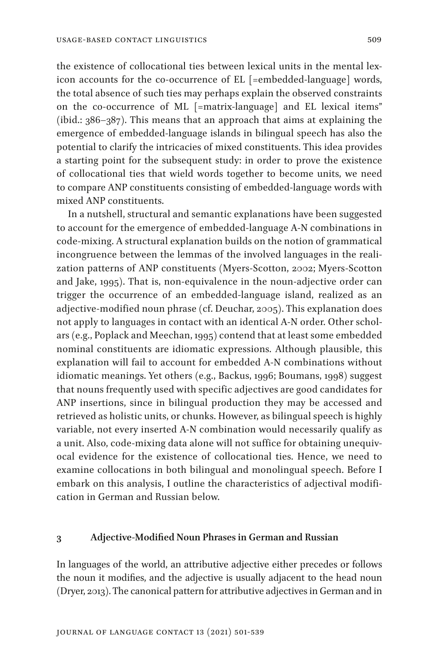the existence of collocational ties between lexical units in the mental lexicon accounts for the co-occurrence of EL [=embedded-language] words, the total absence of such ties may perhaps explain the observed constraints on the co-occurrence of ML [=matrix-language] and EL lexical items" (ibid.: 386–387). This means that an approach that aims at explaining the emergence of embedded-language islands in bilingual speech has also the potential to clarify the intricacies of mixed constituents. This idea provides a starting point for the subsequent study: in order to prove the existence of collocational ties that wield words together to become units, we need to compare ANP constituents consisting of embedded-language words with mixed ANP constituents.

In a nutshell, structural and semantic explanations have been suggested to account for the emergence of embedded-language A-N combinations in code-mixing. A structural explanation builds on the notion of grammatical incongruence between the lemmas of the involved languages in the realization patterns of ANP constituents (Myers-Scotton, 2002; Myers-Scotton and Jake, 1995). That is, non-equivalence in the noun-adjective order can trigger the occurrence of an embedded-language island, realized as an adjective-modified noun phrase (cf. Deuchar, 2005). This explanation does not apply to languages in contact with an identical A-N order. Other scholars (e.g., Poplack and Meechan, 1995) contend that at least some embedded nominal constituents are idiomatic expressions. Although plausible, this explanation will fail to account for embedded A-N combinations without idiomatic meanings. Yet others (e.g., Backus, 1996; Boumans, 1998) suggest that nouns frequently used with specific adjectives are good candidates for ANP insertions, since in bilingual production they may be accessed and retrieved as holistic units, or chunks. However, as bilingual speech is highly variable, not every inserted A-N combination would necessarily qualify as a unit. Also, code-mixing data alone will not suffice for obtaining unequivocal evidence for the existence of collocational ties. Hence, we need to examine collocations in both bilingual and monolingual speech. Before I embark on this analysis, I outline the characteristics of adjectival modification in German and Russian below.

#### **3 Adjective-Modified Noun Phrases in German and Russian**

In languages of the world, an attributive adjective either precedes or follows the noun it modifies, and the adjective is usually adjacent to the head noun (Dryer, 2013). The canonical pattern for attributive adjectives in German and in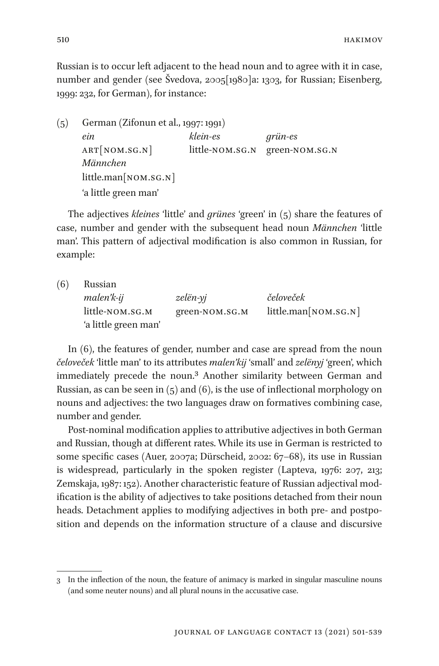Russian is to occur left adjacent to the head noun and to agree with it in case, number and gender (see Švedova, 2005[1980]a: 1303, for Russian; Eisenberg, 1999: 232, for German), for instance:

| (5) | German (Zifonun et al., 1997: 1991) |                 |                |  |
|-----|-------------------------------------|-----------------|----------------|--|
|     | ein                                 | klein-es        | grün-es        |  |
|     | ART[NOM.SG.N]                       | little-NOM.SG.N | green-NOM.SG.N |  |
|     | Männchen                            |                 |                |  |
|     | little.man[ <i>nom.sG.N</i> ]       |                 |                |  |
|     | 'a little green man'                |                 |                |  |

The adjectives *kleines* 'little' and *grünes* 'green' in (5) share the features of case, number and gender with the subsequent head noun *Männchen* 'little man'. This pattern of adjectival modification is also common in Russian, for example:

| (6) | Russian              |                |                      |  |  |
|-----|----------------------|----------------|----------------------|--|--|
|     | malen'k-ij           | zelën-yj       | čeloveček            |  |  |
|     | little-NOM.SG.M      | green-NOM.SG.M | little.man[NOM.SG.N] |  |  |
|     | 'a little green man' |                |                      |  |  |

In (6), the features of gender, number and case are spread from the noun *čeloveček* 'little man' to its attributes *malen'kij* 'small' and *zelёnyj* 'green', which immediately precede the noun.3 Another similarity between German and Russian, as can be seen in  $(5)$  and  $(6)$ , is the use of inflectional morphology on nouns and adjectives: the two languages draw on formatives combining case, number and gender.

Post-nominal modification applies to attributive adjectives in both German and Russian, though at different rates. While its use in German is restricted to some specific cases (Auer, 2007a; Dürscheid, 2002: 67–68), its use in Russian is widespread, particularly in the spoken register (Lapteva, 1976: 207, 213; Zemskaja, 1987: 152). Another characteristic feature of Russian adjectival modification is the ability of adjectives to take positions detached from their noun heads. Detachment applies to modifying adjectives in both pre- and postposition and depends on the information structure of a clause and discursive

<sup>3</sup> In the inflection of the noun, the feature of animacy is marked in singular masculine nouns (and some neuter nouns) and all plural nouns in the accusative case.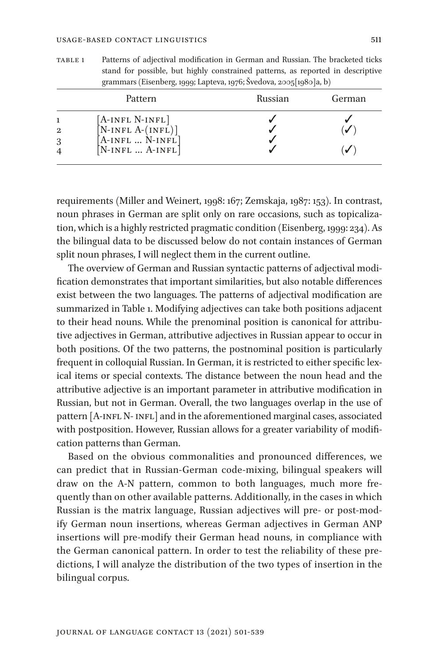table 1 Patterns of adjectival modification in German and Russian. The bracketed ticks stand for possible, but highly constrained patterns, as reported in descriptive grammars (Eisenberg, 1999; Lapteva, 1976; Švedova, 2005[1980]a, b)

|        | Pattern                                                                                 | Russian | German |
|--------|-----------------------------------------------------------------------------------------|---------|--------|
| 2<br>3 | [A-INFL N-INFL]<br>$[N-INFL A-(INFL)]$<br>$[A-INFL  N-INFL]$<br>$[N-INFL \dots A-INFL]$ |         |        |

requirements (Miller and Weinert, 1998: 167; Zemskaja, 1987: 153). In contrast, noun phrases in German are split only on rare occasions, such as topicalization, which is a highly restricted pragmatic condition (Eisenberg, 1999: 234). As the bilingual data to be discussed below do not contain instances of German split noun phrases, I will neglect them in the current outline.

The overview of German and Russian syntactic patterns of adjectival modification demonstrates that important similarities, but also notable differences exist between the two languages. The patterns of adjectival modification are summarized in Table 1. Modifying adjectives can take both positions adjacent to their head nouns. While the prenominal position is canonical for attributive adjectives in German, attributive adjectives in Russian appear to occur in both positions. Of the two patterns, the postnominal position is particularly frequent in colloquial Russian. In German, it is restricted to either specific lexical items or special contexts. The distance between the noun head and the attributive adjective is an important parameter in attributive modification in Russian, but not in German. Overall, the two languages overlap in the use of pattern [A-INFL N- INFL] and in the aforementioned marginal cases, associated with postposition. However, Russian allows for a greater variability of modification patterns than German.

Based on the obvious commonalities and pronounced differences, we can predict that in Russian-German code-mixing, bilingual speakers will draw on the A-N pattern, common to both languages, much more frequently than on other available patterns. Additionally, in the cases in which Russian is the matrix language, Russian adjectives will pre- or post-modify German noun insertions, whereas German adjectives in German ANP insertions will pre-modify their German head nouns, in compliance with the German canonical pattern. In order to test the reliability of these predictions, I will analyze the distribution of the two types of insertion in the bilingual corpus.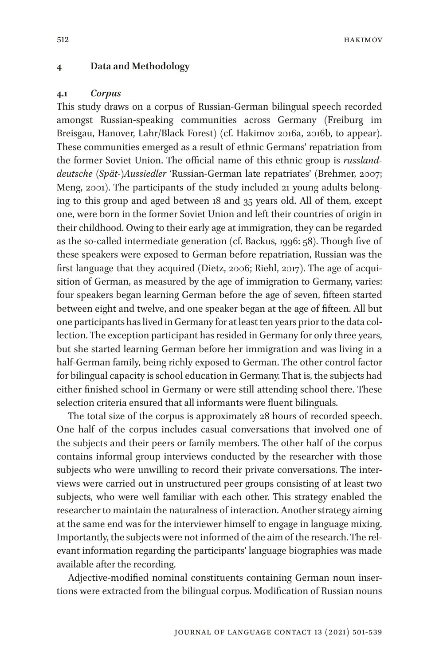hakimov

#### **4 Data and Methodology**

#### **4.1** *Corpus*

This study draws on a corpus of Russian-German bilingual speech recorded amongst Russian-speaking communities across Germany (Freiburg im Breisgau, Hanover, Lahr/Black Forest) (cf. Hakimov 2016a, 2016b, to appear). These communities emerged as a result of ethnic Germans' repatriation from the former Soviet Union. The official name of this ethnic group is *russlanddeutsche (Spät-)Aussiedler* 'Russian-German late repatriates' (Brehmer, 2007; Meng, 2001). The participants of the study included 21 young adults belonging to this group and aged between 18 and 35 years old. All of them, except one, were born in the former Soviet Union and left their countries of origin in their childhood. Owing to their early age at immigration, they can be regarded as the so-called intermediate generation (cf. Backus, 1996: 58). Though five of these speakers were exposed to German before repatriation, Russian was the first language that they acquired (Dietz, 2006; Riehl, 2017). The age of acquisition of German, as measured by the age of immigration to Germany, varies: four speakers began learning German before the age of seven, fifteen started between eight and twelve, and one speaker began at the age of fifteen. All but one participants has lived in Germany for at least ten years prior to the data collection. The exception participant has resided in Germany for only three years, but she started learning German before her immigration and was living in a half-German family, being richly exposed to German. The other control factor for bilingual capacity is school education in Germany. That is, the subjects had either finished school in Germany or were still attending school there. These selection criteria ensured that all informants were fluent bilinguals.

The total size of the corpus is approximately 28 hours of recorded speech. One half of the corpus includes casual conversations that involved one of the subjects and their peers or family members. The other half of the corpus contains informal group interviews conducted by the researcher with those subjects who were unwilling to record their private conversations. The interviews were carried out in unstructured peer groups consisting of at least two subjects, who were well familiar with each other. This strategy enabled the researcher to maintain the naturalness of interaction. Another strategy aiming at the same end was for the interviewer himself to engage in language mixing. Importantly, the subjects were not informed of the aim of the research. The relevant information regarding the participants' language biographies was made available after the recording.

Adjective-modified nominal constituents containing German noun insertions were extracted from the bilingual corpus. Modification of Russian nouns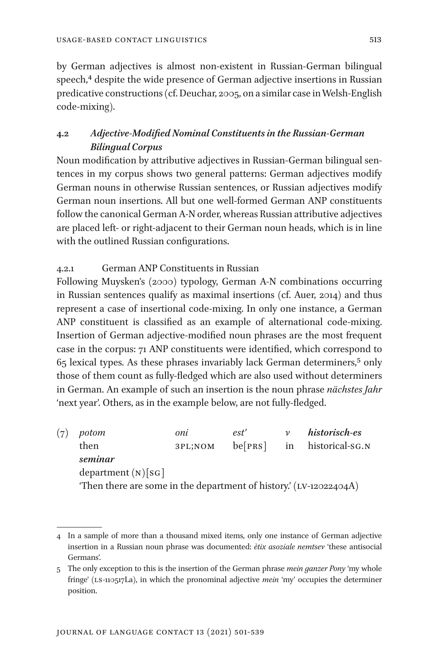by German adjectives is almost non-existent in Russian-German bilingual speech,<sup>4</sup> despite the wide presence of German adjective insertions in Russian predicative constructions (cf. Deuchar, 2005, on a similar case in Welsh-English code-mixing).

# **4.2** *Adjective-Modified Nominal Constituents in the Russian-German Bilingual Corpus*

Noun modification by attributive adjectives in Russian-German bilingual sentences in my corpus shows two general patterns: German adjectives modify German nouns in otherwise Russian sentences, or Russian adjectives modify German noun insertions. All but one well-formed German ANP constituents follow the canonical German A-N order, whereas Russian attributive adjectives are placed left- or right-adjacent to their German noun heads, which is in line with the outlined Russian configurations.

# 4.2.1 German ANP Constituents in Russian

Following Muysken's (2000) typology, German A-N combinations occurring in Russian sentences qualify as maximal insertions (cf. Auer, 2014) and thus represent a case of insertional code-mixing. In only one instance, a German ANP constituent is classified as an example of alternational code-mixing. Insertion of German adjective-modified noun phrases are the most frequent case in the corpus: 71 ANP constituents were identified, which correspond to 65 lexical types. As these phrases invariably lack German determiners,5 only those of them count as fully-fledged which are also used without determiners in German. An example of such an insertion is the noun phrase *nächstes Jahr* 'next year'. Others, as in the example below, are not fully-fledged.

(7) *potom oni est' v historisch-es* then 3pl;nom be[prs] in historical-sg.n *seminar* department  $(N)[SG]$ 'Then there are some in the department of history.'  $(LV-12022404A)$ 

<sup>4</sup> In a sample of more than a thousand mixed items, only one instance of German adjective insertion in a Russian noun phrase was documented: *ètix asoziale nemtsev* 'these antisocial Germans'.

<sup>5</sup> The only exception to this is the insertion of the German phrase *mein ganzer Pony* 'my whole fringe' (ls-110517La), in which the pronominal adjective *mein* 'my' occupies the determiner position.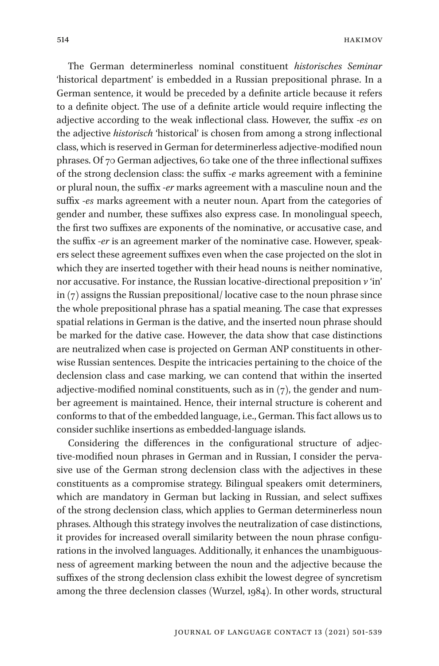The German determinerless nominal constituent *historisches Seminar* 'historical department' is embedded in a Russian prepositional phrase. In a German sentence, it would be preceded by a definite article because it refers to a definite object. The use of a definite article would require inflecting the adjective according to the weak inflectional class. However, the suffix -*es* on the adjective *historisch* 'historical' is chosen from among a strong inflectional class, which is reserved in German for determinerless adjective-modified noun phrases. Of 70 German adjectives, 60 take one of the three inflectional suffixes of the strong declension class: the suffix -*e* marks agreement with a feminine or plural noun, the suffix -*er* marks agreement with a masculine noun and the suffix -*es* marks agreement with a neuter noun. Apart from the categories of gender and number, these suffixes also express case. In monolingual speech, the first two suffixes are exponents of the nominative, or accusative case, and the suffix -*er* is an agreement marker of the nominative case. However, speakers select these agreement suffixes even when the case projected on the slot in which they are inserted together with their head nouns is neither nominative, nor accusative. For instance, the Russian locative-directional preposition *v* 'in' in (7) assigns the Russian prepositional/ locative case to the noun phrase since the whole prepositional phrase has a spatial meaning. The case that expresses spatial relations in German is the dative, and the inserted noun phrase should be marked for the dative case. However, the data show that case distinctions are neutralized when case is projected on German ANP constituents in otherwise Russian sentences. Despite the intricacies pertaining to the choice of the declension class and case marking, we can contend that within the inserted adjective-modified nominal constituents, such as in  $(7)$ , the gender and number agreement is maintained. Hence, their internal structure is coherent and conforms to that of the embedded language, i.e., German. This fact allows us to consider suchlike insertions as embedded-language islands.

Considering the differences in the configurational structure of adjective-modified noun phrases in German and in Russian, I consider the pervasive use of the German strong declension class with the adjectives in these constituents as a compromise strategy. Bilingual speakers omit determiners, which are mandatory in German but lacking in Russian, and select suffixes of the strong declension class, which applies to German determinerless noun phrases. Although this strategy involves the neutralization of case distinctions, it provides for increased overall similarity between the noun phrase configurations in the involved languages. Additionally, it enhances the unambiguousness of agreement marking between the noun and the adjective because the suffixes of the strong declension class exhibit the lowest degree of syncretism among the three declension classes (Wurzel, 1984). In other words, structural

Journal of Language Contact 13 (2021) 501-539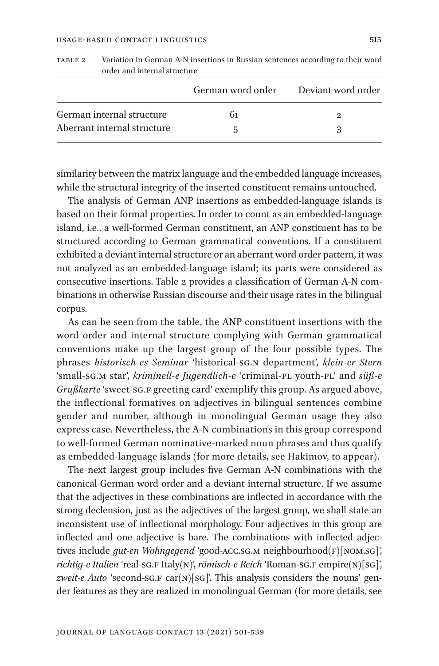|                             | German word order Deviant word order |  |
|-----------------------------|--------------------------------------|--|
| German internal structure   | 61                                   |  |
| Aberrant internal structure |                                      |  |

table 2 Variation in German A-N insertions in Russian sentences according to their word order and internal structure

similarity between the matrix language and the embedded language increases, while the structural integrity of the inserted constituent remains untouched.

The analysis of German ANP insertions as embedded-language islands is based on their formal properties. In order to count as an embedded-language island, i.e., a well-formed German constituent, an ANP constituent has to be structured according to German grammatical conventions. If a constituent exhibited a deviant internal structure or an aberrant word order pattern, it was not analyzed as an embedded-language island; its parts were considered as consecutive insertions. Table 2 provides a classification of German A-N combinations in otherwise Russian discourse and their usage rates in the bilingual corpus.

As can be seen from the table, the ANP constituent insertions with the word order and internal structure complying with German grammatical conventions make up the largest group of the four possible types. The phrases *historisch-es Seminar* 'historical-sg.n department', *klein-er Stern* 'small-sg.m star', *kriminell-e Jugendlich-e* 'criminal-pl youth-pl' and *süß-e Grußkarte* 'sweet-sg.F greeting card' exemplify this group. As argued above, the inflectional formatives on adjectives in bilingual sentences combine gender and number, although in monolingual German usage they also express case. Nevertheless, the A-N combinations in this group correspond to well-formed German nominative-marked noun phrases and thus qualify as embedded-language islands (for more details, see Hakimov, to appear).

The next largest group includes five German A-N combinations with the canonical German word order and a deviant internal structure. If we assume that the adjectives in these combinations are inflected in accordance with the strong declension, just as the adjectives of the largest group, we shall state an inconsistent use of inflectional morphology. Four adjectives in this group are inflected and one adjective is bare. The combinations with inflected adjectives include *gut-en Wohngegend* 'good-ACC.SG.M neighbourhood(F)[NOM.SG]', *richtig-e Italien* 'real-sg.f Italy(n)', *römisch-e Reich* 'Roman-sg.f empire(n)[sg]', zweit-e Auto 'second-sg.F car(N)[sg]'. This analysis considers the nouns' gender features as they are realized in monolingual German (for more details, see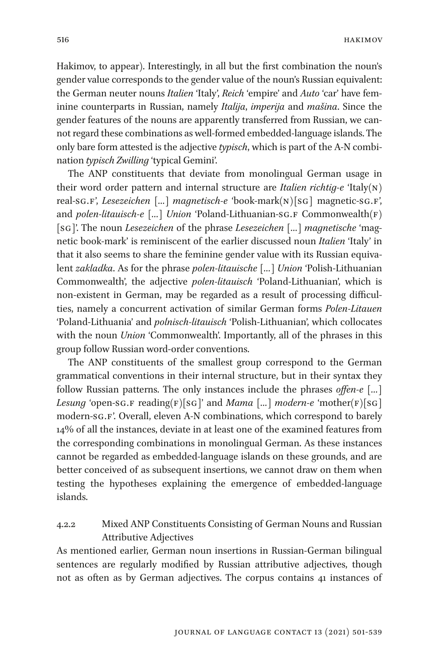Hakimov, to appear). Interestingly, in all but the first combination the noun's gender value corresponds to the gender value of the noun's Russian equivalent: the German neuter nouns *Italien* 'Italy', *Reich* 'empire' and *Auto* 'car' have feminine counterparts in Russian, namely *Italija*, *imperija* and *mašina*. Since the gender features of the nouns are apparently transferred from Russian, we cannot regard these combinations as well-formed embedded-language islands. The only bare form attested is the adjective *typisch*, which is part of the A-N combination *typisch Zwilling* 'typical Gemini'.

The ANP constituents that deviate from monolingual German usage in their word order pattern and internal structure are *Italien richtig-e* 'Italy(n) real-sg.f', *Lesezeichen* [*…*] *magnetisch-e* 'book-mark(n)[sg] magnetic-sg.f', and *polen-litauisch-e* [...] *Union* 'Poland-Lithuanian-sg.F Commonwealth(F) [sg]'. The noun *Lesezeichen* of the phrase *Lesezeichen* [*…*] *magnetische* 'magnetic book-mark' is reminiscent of the earlier discussed noun *Italien* 'Italy' in that it also seems to share the feminine gender value with its Russian equivalent *zakladka*. As for the phrase *polen-litauische* [*…*] *Union* 'Polish-Lithuanian Commonwealth', the adjective *polen-litauisch* 'Poland-Lithuanian', which is non-existent in German, may be regarded as a result of processing difficulties, namely a concurrent activation of similar German forms *Polen-Litauen* 'Poland-Lithuania' and *polnisch-litauisch* 'Polish-Lithuanian', which collocates with the noun *Union* 'Commonwealth'. Importantly, all of the phrases in this group follow Russian word-order conventions.

The ANP constituents of the smallest group correspond to the German grammatical conventions in their internal structure, but in their syntax they follow Russian patterns. The only instances include the phrases *offen-e* [*…*] *Lesung* 'open-sg.f reading( $F$ )[sg]' and *Mama* [...] *modern-e* 'mother( $F$ )[sg] modern-sg.f'. Overall, eleven A-N combinations, which correspond to barely 14% of all the instances, deviate in at least one of the examined features from the corresponding combinations in monolingual German. As these instances cannot be regarded as embedded-language islands on these grounds, and are better conceived of as subsequent insertions, we cannot draw on them when testing the hypotheses explaining the emergence of embedded-language islands.

# 4.2.2 Mixed ANP Constituents Consisting of German Nouns and Russian Attributive Adjectives

As mentioned earlier, German noun insertions in Russian-German bilingual sentences are regularly modified by Russian attributive adjectives, though not as often as by German adjectives. The corpus contains 41 instances of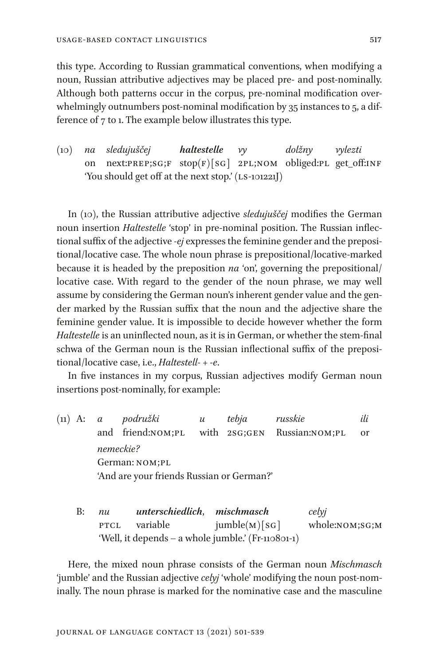this type. According to Russian grammatical conventions, when modifying a noun, Russian attributive adjectives may be placed pre- and post-nominally. Although both patterns occur in the corpus, pre-nominal modification overwhelmingly outnumbers post-nominal modification by 35 instances to 5, a difference of 7 to 1. The example below illustrates this type.

(10) *na sledujuščej haltestelle vy dolžny vylezti* on next:PREP;SG;F stop(F)[SG] 2PL;NOM obliged:PL get\_off:INF 'You should get off at the next stop.' (LS-101221J)

In (10), the Russian attributive adjective *sledujuščej* modifies the German noun insertion *Haltestelle* 'stop' in pre-nominal position. The Russian inflectional suffix of the adjective *-ej* expresses the feminine gender and the prepositional/locative case. The whole noun phrase is prepositional/locative-marked because it is headed by the preposition *na* 'on', governing the prepositional/ locative case. With regard to the gender of the noun phrase, we may well assume by considering the German noun's inherent gender value and the gender marked by the Russian suffix that the noun and the adjective share the feminine gender value. It is impossible to decide however whether the form *Haltestelle* is an uninflected noun, as it is in German, or whether the stem-final schwa of the German noun is the Russian inflectional suffix of the prepositional/locative case, i.e., *Haltestell- + -e*.

In five instances in my corpus, Russian adjectives modify German noun insertions post-nominally, for example:

- (11) A: *a podružki u tebja russkie ili* and friend:nom;pl with 2sg;gen Russian:nom;pl or *nemeckie?* German: nom;pl 'And are your friends Russian or German?'
	- B: *nu unterschiedlich*, *mischmasch celyj* PTCL variable  $jumble(M)[SG]$  whole:NOM;SG;M 'Well, it depends – a whole jumble.' (Fr-110801-1)

Here, the mixed noun phrase consists of the German noun *Mischmasch* 'jumble' and the Russian adjective *celyj* 'whole' modifying the noun post-nominally. The noun phrase is marked for the nominative case and the masculine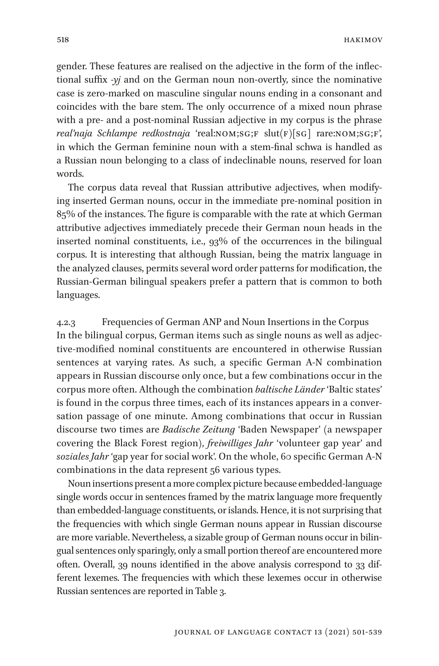gender. These features are realised on the adjective in the form of the inflectional suffix *-yj* and on the German noun non-overtly, since the nominative case is zero-marked on masculine singular nouns ending in a consonant and coincides with the bare stem. The only occurrence of a mixed noun phrase with a pre- and a post-nominal Russian adjective in my corpus is the phrase *real'naja Schlampe redkostnaja* 'real:NOM;SG;F slut(F)[SG] rare:NOM;SG;F', in which the German feminine noun with a stem-final schwa is handled as a Russian noun belonging to a class of indeclinable nouns, reserved for loan words.

The corpus data reveal that Russian attributive adjectives, when modifying inserted German nouns, occur in the immediate pre-nominal position in 85% of the instances. The figure is comparable with the rate at which German attributive adjectives immediately precede their German noun heads in the inserted nominal constituents, i.e., 93% of the occurrences in the bilingual corpus. It is interesting that although Russian, being the matrix language in the analyzed clauses, permits several word order patterns for modification, the Russian-German bilingual speakers prefer a pattern that is common to both languages.

4.2.3 Frequencies of German ANP and Noun Insertions in the Corpus In the bilingual corpus, German items such as single nouns as well as adjective-modified nominal constituents are encountered in otherwise Russian sentences at varying rates. As such, a specific German A-N combination appears in Russian discourse only once, but a few combinations occur in the corpus more often. Although the combination *baltische Länder* 'Baltic states' is found in the corpus three times, each of its instances appears in a conversation passage of one minute. Among combinations that occur in Russian discourse two times are *Badische Zeitung* 'Baden Newspaper' (a newspaper covering the Black Forest region), *freiwilliges Jahr* 'volunteer gap year' and *soziales Jahr* 'gap year for social work'. On the whole, 60 specific German A-N combinations in the data represent 56 various types.

Noun insertions present a more complex picture because embedded-language single words occur in sentences framed by the matrix language more frequently than embedded-language constituents, or islands. Hence, it is not surprising that the frequencies with which single German nouns appear in Russian discourse are more variable. Nevertheless, a sizable group of German nouns occur in bilingual sentences only sparingly, only a small portion thereof are encountered more often. Overall, 39 nouns identified in the above analysis correspond to 33 different lexemes. The frequencies with which these lexemes occur in otherwise Russian sentences are reported in Table 3.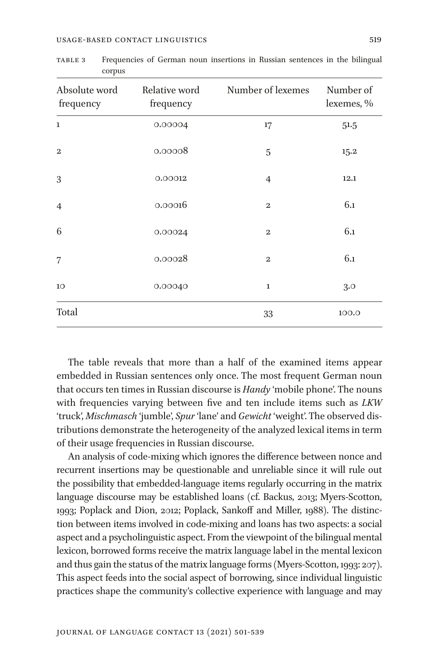| Absolute word<br>frequency | Relative word<br>frequency | Number of lexemes | Number of<br>lexemes, % |
|----------------------------|----------------------------|-------------------|-------------------------|
| $\mathbf{1}$               | 0.00004                    | 17                | 51.5                    |
| $\boldsymbol{2}$           | 0.00008                    | 5                 | 15.2                    |
| 3                          | 0.00012                    | $\overline{4}$    | 12.1                    |
| $\overline{4}$             | 0.00016                    | $\boldsymbol{2}$  | 6.1                     |
| 6                          | 0.00024                    | $\mathbf{2}$      | 6.1                     |
| $\overline{7}$             | 0.00028                    | $\mathbf{2}$      | 6.1                     |
| 10                         | 0.00040                    | 1                 | 3.0                     |
| Total                      |                            | 33                | 100.0                   |

table 3 Frequencies of German noun insertions in Russian sentences in the bilingual corpus

The table reveals that more than a half of the examined items appear embedded in Russian sentences only once. The most frequent German noun that occurs ten times in Russian discourse is *Handy* 'mobile phone'. The nouns with frequencies varying between five and ten include items such as *LKW* 'truck', *Mischmasch* 'jumble', *Spur* 'lane' and *Gewicht* 'weight'. The observed distributions demonstrate the heterogeneity of the analyzed lexical items in term of their usage frequencies in Russian discourse.

An analysis of code-mixing which ignores the difference between nonce and recurrent insertions may be questionable and unreliable since it will rule out the possibility that embedded-language items regularly occurring in the matrix language discourse may be established loans (cf. Backus, 2013; Myers-Scotton, 1993; Poplack and Dion, 2012; Poplack, Sankoff and Miller, 1988). The distinction between items involved in code-mixing and loans has two aspects: a social aspect and a psycholinguistic aspect. From the viewpoint of the bilingual mental lexicon, borrowed forms receive the matrix language label in the mental lexicon and thus gain the status of the matrix language forms (Myers-Scotton, 1993: 207). This aspect feeds into the social aspect of borrowing, since individual linguistic practices shape the community's collective experience with language and may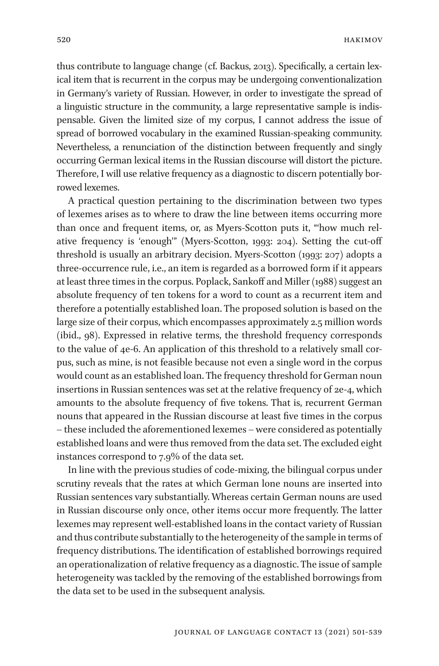thus contribute to language change (cf. Backus, 2013). Specifically, a certain lexical item that is recurrent in the corpus may be undergoing conventionalization in Germany's variety of Russian. However, in order to investigate the spread of a linguistic structure in the community, a large representative sample is indispensable. Given the limited size of my corpus, I cannot address the issue of spread of borrowed vocabulary in the examined Russian-speaking community. Nevertheless, a renunciation of the distinction between frequently and singly occurring German lexical items in the Russian discourse will distort the picture. Therefore, I will use relative frequency as a diagnostic to discern potentially borrowed lexemes.

A practical question pertaining to the discrimination between two types of lexemes arises as to where to draw the line between items occurring more than once and frequent items, or, as Myers-Scotton puts it, "'how much relative frequency is 'enough'" (Myers-Scotton, 1993: 204). Setting the cut-off threshold is usually an arbitrary decision. Myers-Scotton (1993: 207) adopts a three-occurrence rule, i.e., an item is regarded as a borrowed form if it appears at least three times in the corpus. Poplack, Sankoff and Miller (1988) suggest an absolute frequency of ten tokens for a word to count as a recurrent item and therefore a potentially established loan. The proposed solution is based on the large size of their corpus, which encompasses approximately 2.5 million words (ibid., 98). Expressed in relative terms, the threshold frequency corresponds to the value of 4e-6. An application of this threshold to a relatively small corpus, such as mine, is not feasible because not even a single word in the corpus would count as an established loan. The frequency threshold for German noun insertions in Russian sentences was set at the relative frequency of 2e-4, which amounts to the absolute frequency of five tokens. That is, recurrent German nouns that appeared in the Russian discourse at least five times in the corpus – these included the aforementioned lexemes – were considered as potentially established loans and were thus removed from the data set. The excluded eight instances correspond to 7.9% of the data set.

In line with the previous studies of code-mixing, the bilingual corpus under scrutiny reveals that the rates at which German lone nouns are inserted into Russian sentences vary substantially. Whereas certain German nouns are used in Russian discourse only once, other items occur more frequently. The latter lexemes may represent well-established loans in the contact variety of Russian and thus contribute substantially to the heterogeneity of the sample in terms of frequency distributions. The identification of established borrowings required an operationalization of relative frequency as a diagnostic. The issue of sample heterogeneity was tackled by the removing of the established borrowings from the data set to be used in the subsequent analysis.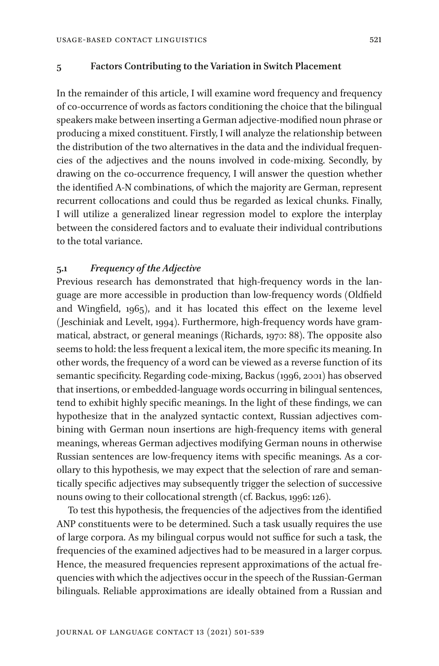### **5 Factors Contributing to the Variation in Switch Placement**

In the remainder of this article, I will examine word frequency and frequency of co-occurrence of words as factors conditioning the choice that the bilingual speakers make between inserting a German adjective-modified noun phrase or producing a mixed constituent. Firstly, I will analyze the relationship between the distribution of the two alternatives in the data and the individual frequencies of the adjectives and the nouns involved in code-mixing. Secondly, by drawing on the co-occurrence frequency, I will answer the question whether the identified A-N combinations, of which the majority are German, represent recurrent collocations and could thus be regarded as lexical chunks. Finally, I will utilize a generalized linear regression model to explore the interplay between the considered factors and to evaluate their individual contributions to the total variance.

## **5.1** *Frequency of the Adjective*

Previous research has demonstrated that high-frequency words in the language are more accessible in production than low-frequency words (Oldfield and Wingfield, 1965), and it has located this effect on the lexeme level (Jeschiniak and Levelt, 1994). Furthermore, high-frequency words have grammatical, abstract, or general meanings (Richards, 1970: 88). The opposite also seems to hold: the less frequent a lexical item, the more specific its meaning. In other words, the frequency of a word can be viewed as a reverse function of its semantic specificity. Regarding code-mixing, Backus (1996, 2001) has observed that insertions, or embedded-language words occurring in bilingual sentences, tend to exhibit highly specific meanings. In the light of these findings, we can hypothesize that in the analyzed syntactic context, Russian adjectives combining with German noun insertions are high-frequency items with general meanings, whereas German adjectives modifying German nouns in otherwise Russian sentences are low-frequency items with specific meanings. As a corollary to this hypothesis, we may expect that the selection of rare and semantically specific adjectives may subsequently trigger the selection of successive nouns owing to their collocational strength (cf. Backus, 1996: 126).

To test this hypothesis, the frequencies of the adjectives from the identified ANP constituents were to be determined. Such a task usually requires the use of large corpora. As my bilingual corpus would not suffice for such a task, the frequencies of the examined adjectives had to be measured in a larger corpus. Hence, the measured frequencies represent approximations of the actual frequencies with which the adjectives occur in the speech of the Russian-German bilinguals. Reliable approximations are ideally obtained from a Russian and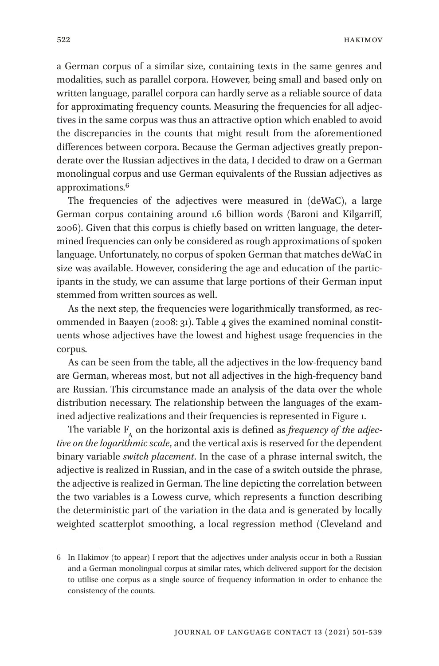hakimov

a German corpus of a similar size, containing texts in the same genres and modalities, such as parallel corpora. However, being small and based only on written language, parallel corpora can hardly serve as a reliable source of data for approximating frequency counts. Measuring the frequencies for all adjectives in the same corpus was thus an attractive option which enabled to avoid the discrepancies in the counts that might result from the aforementioned differences between corpora. Because the German adjectives greatly preponderate over the Russian adjectives in the data, I decided to draw on a German monolingual corpus and use German equivalents of the Russian adjectives as approximations.6

The frequencies of the adjectives were measured in (deWaC), a large German corpus containing around 1.6 billion words (Baroni and Kilgarriff, 2006). Given that this corpus is chiefly based on written language, the determined frequencies can only be considered as rough approximations of spoken language. Unfortunately, no corpus of spoken German that matches deWaC in size was available. However, considering the age and education of the participants in the study, we can assume that large portions of their German input stemmed from written sources as well.

As the next step, the frequencies were logarithmically transformed, as recommended in Baayen (2008: 31). Table 4 gives the examined nominal constituents whose adjectives have the lowest and highest usage frequencies in the corpus.

As can be seen from the table, all the adjectives in the low-frequency band are German, whereas most, but not all adjectives in the high-frequency band are Russian. This circumstance made an analysis of the data over the whole distribution necessary. The relationship between the languages of the examined adjective realizations and their frequencies is represented in Figure 1.

The variable F A on the horizontal axis is defined as *frequency of the adjective on the logarithmic scale*, and the vertical axis is reserved for the dependent binary variable *switch placement*. In the case of a phrase internal switch, the adjective is realized in Russian, and in the case of a switch outside the phrase, the adjective is realized in German. The line depicting the correlation between the two variables is a Lowess curve, which represents a function describing the deterministic part of the variation in the data and is generated by locally weighted scatterplot smoothing, a local regression method (Cleveland and

<sup>6</sup> In Hakimov (to appear) I report that the adjectives under analysis occur in both a Russian and a German monolingual corpus at similar rates, which delivered support for the decision to utilise one corpus as a single source of frequency information in order to enhance the consistency of the counts.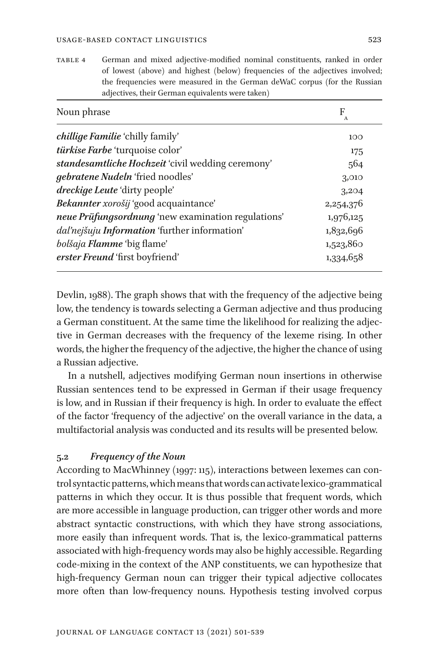table 4 German and mixed adjective-modified nominal constituents, ranked in order of lowest (above) and highest (below) frequencies of the adjectives involved; the frequencies were measured in the German deWaC corpus (for the Russian adjectives, their German equivalents were taken)

| Noun phrase                                        | F<br>$\mathbf{A}$ |
|----------------------------------------------------|-------------------|
| <i>chillige Familie</i> 'chilly family'            | 100               |
| türkise Farbe 'turquoise color'                    | 175               |
| standesamtliche Hochzeit 'civil wedding ceremony'  | 564               |
| gebratene Nudeln 'fried noodles'                   | 3,010             |
| dreckige Leute 'dirty people'                      | 3,204             |
| Bekannter xorošij 'good acquaintance'              | 2,254,376         |
| neue Prüfungsordnung 'new examination regulations' | 1,976,125         |
| dal'nejšuju Information 'further information'      | 1,832,696         |
| bolšaja Flamme 'big flame'                         | 1,523,860         |
| erster Freund 'first boyfriend'                    | 1,334,658         |

Devlin, 1988). The graph shows that with the frequency of the adjective being low, the tendency is towards selecting a German adjective and thus producing a German constituent. At the same time the likelihood for realizing the adjective in German decreases with the frequency of the lexeme rising. In other words, the higher the frequency of the adjective, the higher the chance of using a Russian adjective.

In a nutshell, adjectives modifying German noun insertions in otherwise Russian sentences tend to be expressed in German if their usage frequency is low, and in Russian if their frequency is high. In order to evaluate the effect of the factor 'frequency of the adjective' on the overall variance in the data, a multifactorial analysis was conducted and its results will be presented below.

# **5.2** *Frequency of the Noun*

According to MacWhinney (1997: 115), interactions between lexemes can control syntactic patterns, which means that words can activate lexico-grammatical patterns in which they occur. It is thus possible that frequent words, which are more accessible in language production, can trigger other words and more abstract syntactic constructions, with which they have strong associations, more easily than infrequent words. That is, the lexico-grammatical patterns associated with high-frequency words may also be highly accessible. Regarding code-mixing in the context of the ANP constituents, we can hypothesize that high-frequency German noun can trigger their typical adjective collocates more often than low-frequency nouns. Hypothesis testing involved corpus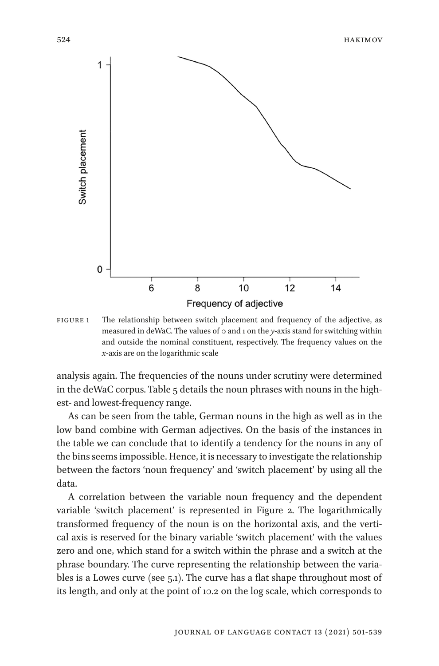

figure 1 The relationship between switch placement and frequency of the adjective, as measured in deWaC. The values of 0 and 1 on the *y*-axis stand for switching within and outside the nominal constituent, respectively. The frequency values on the *x*-axis are on the logarithmic scale

analysis again. The frequencies of the nouns under scrutiny were determined in the deWaC corpus. Table 5 details the noun phrases with nouns in the highest- and lowest-frequency range.

As can be seen from the table, German nouns in the high as well as in the low band combine with German adjectives. On the basis of the instances in the table we can conclude that to identify a tendency for the nouns in any of the bins seems impossible. Hence, it is necessary to investigate the relationship between the factors 'noun frequency' and 'switch placement' by using all the data.

A correlation between the variable noun frequency and the dependent variable 'switch placement' is represented in Figure 2. The logarithmically transformed frequency of the noun is on the horizontal axis, and the vertical axis is reserved for the binary variable 'switch placement' with the values zero and one, which stand for a switch within the phrase and a switch at the phrase boundary. The curve representing the relationship between the variables is a Lowes curve (see 5.1). The curve has a flat shape throughout most of its length, and only at the point of 10.2 on the log scale, which corresponds to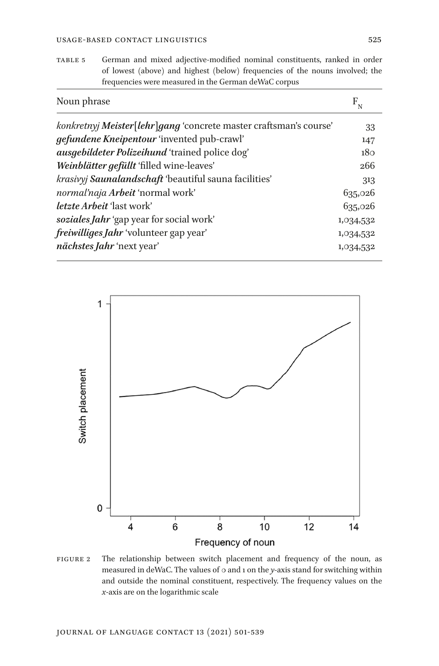table 5 German and mixed adjective-modified nominal constituents, ranked in order of lowest (above) and highest (below) frequencies of the nouns involved; the frequencies were measured in the German deWaC corpus

| Noun phrase                                                       | $F_{N}$         |
|-------------------------------------------------------------------|-----------------|
| konkretnyj Meister[lehr]gang 'concrete master craftsman's course' | 33              |
| <i>gefundene Kneipentour</i> 'invented pub-crawl'                 | 147             |
| ausgebildeter Polizeihund 'trained police dog'                    | 18 <sub>0</sub> |
| Weinblätter gefüllt 'filled wine-leaves'                          | 266             |
| krasivyj Saunalandschaft 'beautiful sauna facilities'             | 313             |
| normal'naja Arbeit 'normal work'                                  | 635,026         |
| <i>letzte Arbeit</i> 'last work'                                  | 635,026         |
| soziales Jahr 'gap year for social work'                          | 1,034,532       |
| freiwilliges Jahr 'volunteer gap year'                            | 1,034,532       |
| nächstes Jahr 'next year'                                         | 1,034,532       |



figure 2 The relationship between switch placement and frequency of the noun, as measured in deWaC. The values of 0 and 1 on the *y*-axis stand for switching within and outside the nominal constituent, respectively. The frequency values on the *x*-axis are on the logarithmic scale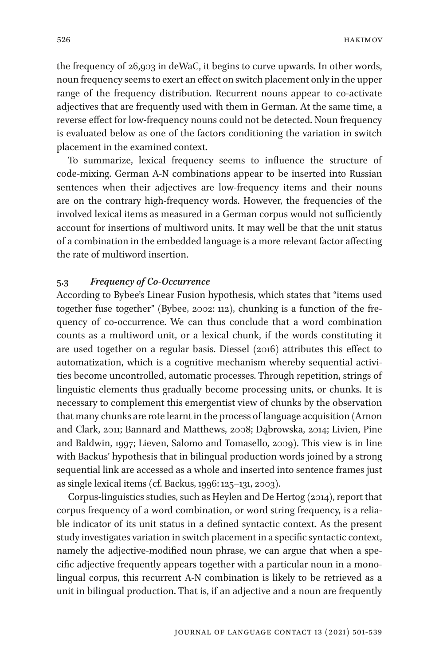the frequency of 26,903 in deWaC, it begins to curve upwards. In other words, noun frequency seems to exert an effect on switch placement only in the upper range of the frequency distribution. Recurrent nouns appear to co-activate adjectives that are frequently used with them in German. At the same time, a reverse effect for low-frequency nouns could not be detected. Noun frequency is evaluated below as one of the factors conditioning the variation in switch placement in the examined context.

To summarize, lexical frequency seems to influence the structure of code-mixing. German A-N combinations appear to be inserted into Russian sentences when their adjectives are low-frequency items and their nouns are on the contrary high-frequency words. However, the frequencies of the involved lexical items as measured in a German corpus would not sufficiently account for insertions of multiword units. It may well be that the unit status of a combination in the embedded language is a more relevant factor affecting the rate of multiword insertion.

### **5.3** *Frequency of Co-Occurrence*

According to Bybee's Linear Fusion hypothesis, which states that "items used together fuse together" (Bybee, 2002: 112), chunking is a function of the frequency of co-occurrence. We can thus conclude that a word combination counts as a multiword unit, or a lexical chunk, if the words constituting it are used together on a regular basis. Diessel (2016) attributes this effect to automatization, which is a cognitive mechanism whereby sequential activities become uncontrolled, automatic processes. Through repetition, strings of linguistic elements thus gradually become processing units, or chunks. It is necessary to complement this emergentist view of chunks by the observation that many chunks are rote learnt in the process of language acquisition (Arnon and Clark, 2011; Bannard and Matthews, 2008; Dąbrowska, 2014; Livien, Pine and Baldwin, 1997; Lieven, Salomo and Tomasello, 2009). This view is in line with Backus' hypothesis that in bilingual production words joined by a strong sequential link are accessed as a whole and inserted into sentence frames just as single lexical items (cf. Backus, 1996: 125–131, 2003).

Corpus-linguistics studies, such as Heylen and De Hertog (2014), report that corpus frequency of a word combination, or word string frequency, is a reliable indicator of its unit status in a defined syntactic context. As the present study investigates variation in switch placement in a specific syntactic context, namely the adjective-modified noun phrase, we can argue that when a specific adjective frequently appears together with a particular noun in a monolingual corpus, this recurrent A-N combination is likely to be retrieved as a unit in bilingual production. That is, if an adjective and a noun are frequently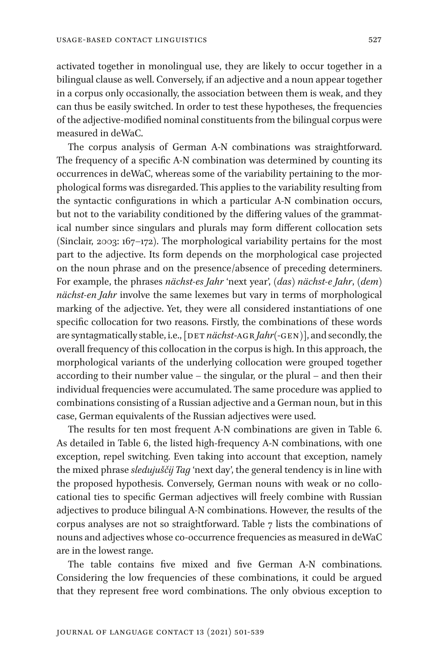activated together in monolingual use, they are likely to occur together in a bilingual clause as well. Conversely, if an adjective and a noun appear together in a corpus only occasionally, the association between them is weak, and they can thus be easily switched. In order to test these hypotheses, the frequencies of the adjective-modified nominal constituents from the bilingual corpus were measured in deWaC.

The corpus analysis of German A-N combinations was straightforward. The frequency of a specific A-N combination was determined by counting its occurrences in deWaC, whereas some of the variability pertaining to the morphological forms was disregarded. This applies to the variability resulting from the syntactic configurations in which a particular A-N combination occurs, but not to the variability conditioned by the differing values of the grammatical number since singulars and plurals may form different collocation sets (Sinclair, 2003: 167–172). The morphological variability pertains for the most part to the adjective. Its form depends on the morphological case projected on the noun phrase and on the presence/absence of preceding determiners. For example, the phrases *nächst-es Jahr* 'next year', *(das) nächst-e Jahr*, *(dem) nächst-en Jahr* involve the same lexemes but vary in terms of morphological marking of the adjective. Yet, they were all considered instantiations of one specific collocation for two reasons. Firstly, the combinations of these words are syntagmatically stable, i.e., [DET *nächst-AGR Jahr*(-GEN)], and secondly, the overall frequency of this collocation in the corpus is high. In this approach, the morphological variants of the underlying collocation were grouped together according to their number value – the singular, or the plural – and then their individual frequencies were accumulated. The same procedure was applied to combinations consisting of a Russian adjective and a German noun, but in this case, German equivalents of the Russian adjectives were used.

The results for ten most frequent A-N combinations are given in Table 6. As detailed in Table 6, the listed high-frequency A-N combinations, with one exception, repel switching. Even taking into account that exception, namely the mixed phrase *sledujuščij Tag* 'next day', the general tendency is in line with the proposed hypothesis. Conversely, German nouns with weak or no collocational ties to specific German adjectives will freely combine with Russian adjectives to produce bilingual A-N combinations. However, the results of the corpus analyses are not so straightforward. Table 7 lists the combinations of nouns and adjectives whose co-occurrence frequencies as measured in deWaC are in the lowest range.

The table contains five mixed and five German A-N combinations. Considering the low frequencies of these combinations, it could be argued that they represent free word combinations. The only obvious exception to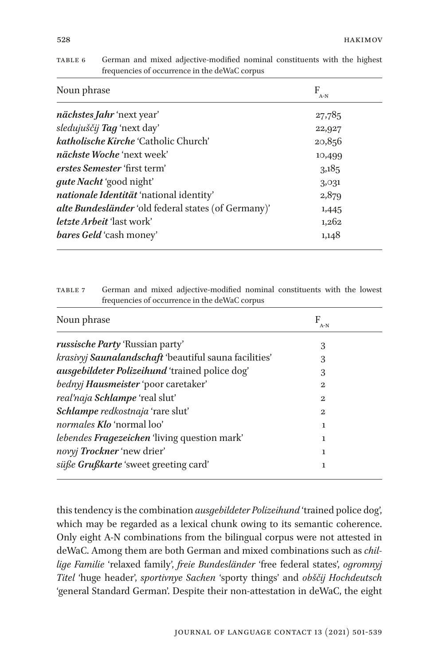| Noun phrase                                         | F<br>$A-N$ |  |
|-----------------------------------------------------|------------|--|
| nächstes Jahr 'next year'                           | 27,785     |  |
| sledujuščij Tag 'next day'                          | 22,927     |  |
| <i>katholische Kirche 'Catholic Church'</i>         | 20,856     |  |
| <i>nächste Woche</i> 'next week'                    | 10,499     |  |
| erstes Semester 'first term'                        | 3,185      |  |
| gute Nacht 'good night'                             | 3,031      |  |
| nationale Identität 'national identity'             | 2,879      |  |
| alte Bundesländer 'old federal states (of Germany)' | 1,445      |  |
| <i>letzte Arbeit</i> 'last work'                    | 1,262      |  |
| <i>bares Geld</i> 'cash money'                      | 1,148      |  |

| TABLE 6 | German and mixed adjective-modified nominal constituents with the highest |
|---------|---------------------------------------------------------------------------|
|         | frequencies of occurrence in the deWaC corpus                             |

| TABLE 7 | German and mixed adjective-modified nominal constituents with the lowest |
|---------|--------------------------------------------------------------------------|
|         | frequencies of occurrence in the deWaC corpus                            |

| Noun phrase                                           | F<br>$A-N$ |  |
|-------------------------------------------------------|------------|--|
| <i>russische Party</i> 'Russian party'                | 3          |  |
| krasivyj Saunalandschaft 'beautiful sauna facilities' | 3          |  |
| ausgebildeter Polizeihund 'trained police dog'        | 3          |  |
| bednyj Hausmeister 'poor caretaker'                   | 2          |  |
| real'naja Schlampe 'real slut'                        | 2          |  |
| Schlampe redkostnaja 'rare slut'                      | 2          |  |
| normales Klo 'normal loo'                             | ı          |  |
| <i>lebendes Fragezeichen</i> 'living question mark'   | 1          |  |
| novyj Trockner 'new drier'                            | 1          |  |
| süße Grußkarte 'sweet greeting card'                  | 1          |  |

this tendency is the combination *ausgebildeter Polizeihund* 'trained police dog', which may be regarded as a lexical chunk owing to its semantic coherence. Only eight A-N combinations from the bilingual corpus were not attested in deWaC. Among them are both German and mixed combinations such as *chillige Familie* 'relaxed family', *freie Bundesländer* 'free federal states', *ogromnyj Titel* 'huge header', *sportivnye Sachen* 'sporty things' and *obščij Hochdeutsch* 'general Standard German'. Despite their non-attestation in deWaC, the eight

528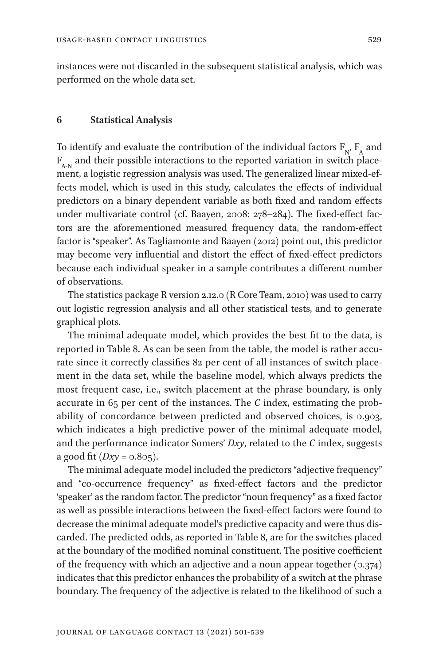instances were not discarded in the subsequent statistical analysis, which was performed on the whole data set.

### **6 Statistical Analysis**

To identify and evaluate the contribution of the individual factors  $F_{N'}$ ,  $F_A$  and  $F_{A,N}$  and their possible interactions to the reported variation in switch placement, a logistic regression analysis was used. The generalized linear mixed-effects model, which is used in this study, calculates the effects of individual predictors on a binary dependent variable as both fixed and random effects under multivariate control (cf. Baayen, 2008: 278–284). The fixed-effect factors are the aforementioned measured frequency data, the random-effect factor is "speaker". As Tagliamonte and Baayen (2012) point out, this predictor may become very influential and distort the effect of fixed-effect predictors because each individual speaker in a sample contributes a different number of observations.

The statistics package R version 2.12.0 (R Core Team, 2010) was used to carry out logistic regression analysis and all other statistical tests, and to generate graphical plots.

The minimal adequate model, which provides the best fit to the data, is reported in Table 8. As can be seen from the table, the model is rather accurate since it correctly classifies 82 per cent of all instances of switch placement in the data set, while the baseline model, which always predicts the most frequent case, i.e., switch placement at the phrase boundary, is only accurate in 65 per cent of the instances. The *C* index, estimating the probability of concordance between predicted and observed choices, is 0.903, which indicates a high predictive power of the minimal adequate model, and the performance indicator Somers' *Dxy*, related to the *C* index, suggests a good fit ( $Dxy = 0.805$ ).

The minimal adequate model included the predictors "adjective frequency" and "co-occurrence frequency" as fixed-effect factors and the predictor 'speaker' as the random factor. The predictor "noun frequency" as a fixed factor as well as possible interactions between the fixed-effect factors were found to decrease the minimal adequate model's predictive capacity and were thus discarded. The predicted odds, as reported in Table 8, are for the switches placed at the boundary of the modified nominal constituent. The positive coefficient of the frequency with which an adjective and a noun appear together  $(0.374)$ indicates that this predictor enhances the probability of a switch at the phrase boundary. The frequency of the adjective is related to the likelihood of such a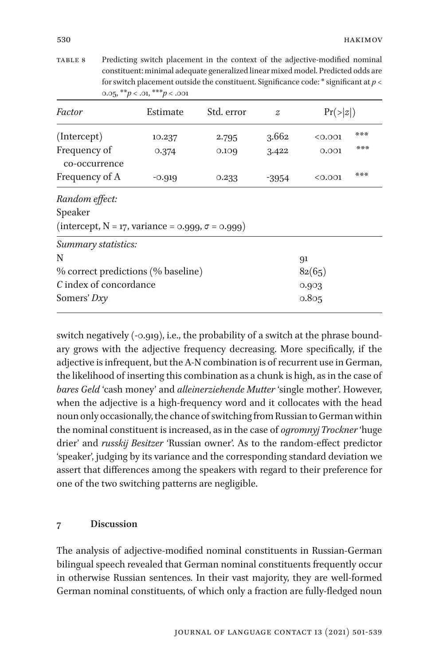table 8 Predicting switch placement in the context of the adjective-modified nominal constituent: minimal adequate generalized linear mixed model. Predicted odds are for switch placement outside the constituent. Significance code: \* significant at *p* < 0.05, \*\**p* < .01, \*\*\**p* < .001

| Factor                                                                                   | Estimate | Std. error | $\widetilde{Z}$ |         | Pr(> z ) |  |
|------------------------------------------------------------------------------------------|----------|------------|-----------------|---------|----------|--|
| (Intercept)                                                                              | 10.237   | 2.795      | 3.662           | < 0.001 | ***      |  |
| Frequency of<br>co-occurrence                                                            | 0.374    | 0.109      | 3.422           | 0.001   | ***      |  |
| Frequency of A                                                                           | $-0.919$ | 0.233      | -3954           | < 0.001 | ***      |  |
| Random effect:<br>Speaker<br>(intercept, $N = 17$ , variance = 0.999, $\sigma = 0.999$ ) |          |            |                 |         |          |  |
| Summary statistics:                                                                      |          |            |                 |         |          |  |
| N                                                                                        |          | 91         |                 |         |          |  |
| % correct predictions (% baseline)                                                       |          |            |                 | 82(65)  |          |  |
| C index of concordance                                                                   |          |            |                 | 0.903   |          |  |
| Somers' Dxy                                                                              |          | 0.805      |                 |         |          |  |

switch negatively (-0.919), i.e., the probability of a switch at the phrase boundary grows with the adjective frequency decreasing. More specifically, if the adjective is infrequent, but the A-N combination is of recurrent use in German, the likelihood of inserting this combination as a chunk is high, as in the case of *bares Geld* 'cash money' and *alleinerziehende Mutter* 'single mother'. However, when the adjective is a high-frequency word and it collocates with the head noun only occasionally, the chance of switching from Russian to German within the nominal constituent is increased, as in the case of *ogromnyj Trockner* 'huge drier' and *russkij Besitzer* 'Russian owner'. As to the random-effect predictor 'speaker', judging by its variance and the corresponding standard deviation we assert that differences among the speakers with regard to their preference for one of the two switching patterns are negligible.

### **7 Discussion**

The analysis of adjective-modified nominal constituents in Russian-German bilingual speech revealed that German nominal constituents frequently occur in otherwise Russian sentences. In their vast majority, they are well-formed German nominal constituents, of which only a fraction are fully-fledged noun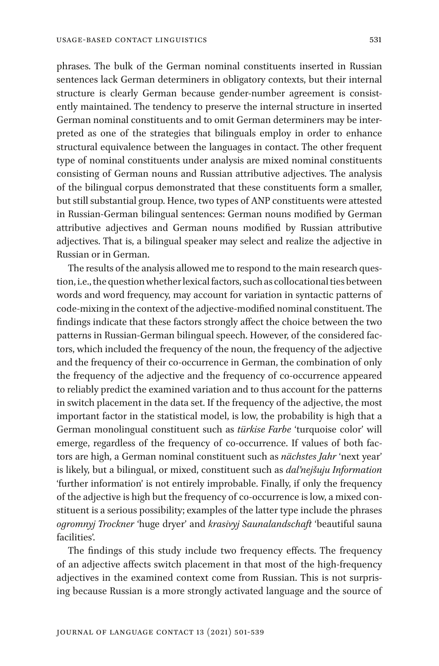phrases. The bulk of the German nominal constituents inserted in Russian sentences lack German determiners in obligatory contexts, but their internal structure is clearly German because gender-number agreement is consistently maintained. The tendency to preserve the internal structure in inserted German nominal constituents and to omit German determiners may be interpreted as one of the strategies that bilinguals employ in order to enhance structural equivalence between the languages in contact. The other frequent type of nominal constituents under analysis are mixed nominal constituents consisting of German nouns and Russian attributive adjectives. The analysis of the bilingual corpus demonstrated that these constituents form a smaller, but still substantial group. Hence, two types of ANP constituents were attested in Russian-German bilingual sentences: German nouns modified by German attributive adjectives and German nouns modified by Russian attributive adjectives. That is, a bilingual speaker may select and realize the adjective in Russian or in German.

The results of the analysis allowed me to respond to the main research question, i.e., the question whether lexical factors, such as collocational ties between words and word frequency, may account for variation in syntactic patterns of code-mixing in the context of the adjective-modified nominal constituent. The findings indicate that these factors strongly affect the choice between the two patterns in Russian-German bilingual speech. However, of the considered factors, which included the frequency of the noun, the frequency of the adjective and the frequency of their co-occurrence in German, the combination of only the frequency of the adjective and the frequency of co-occurrence appeared to reliably predict the examined variation and to thus account for the patterns in switch placement in the data set. If the frequency of the adjective, the most important factor in the statistical model, is low, the probability is high that a German monolingual constituent such as *türkise Farbe* 'turquoise color' will emerge, regardless of the frequency of co-occurrence. If values of both factors are high, a German nominal constituent such as *nächstes Jahr* 'next year' is likely, but a bilingual, or mixed, constituent such as *dal'nejšuju Information* 'further information' is not entirely improbable. Finally, if only the frequency of the adjective is high but the frequency of co-occurrence is low, a mixed constituent is a serious possibility; examples of the latter type include the phrases *ogromnyj Trockner* 'huge dryer' and *krasivyj Saunalandschaft* 'beautiful sauna facilities'.

The findings of this study include two frequency effects. The frequency of an adjective affects switch placement in that most of the high-frequency adjectives in the examined context come from Russian. This is not surprising because Russian is a more strongly activated language and the source of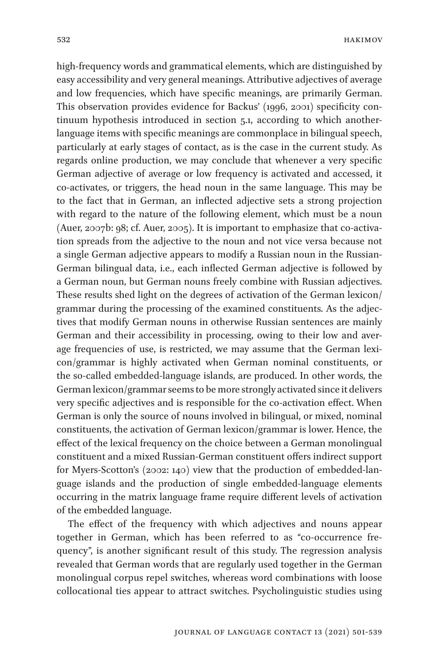high-frequency words and grammatical elements, which are distinguished by easy accessibility and very general meanings. Attributive adjectives of average and low frequencies, which have specific meanings, are primarily German. This observation provides evidence for Backus' (1996, 2001) specificity continuum hypothesis introduced in section 5.1, according to which anotherlanguage items with specific meanings are commonplace in bilingual speech, particularly at early stages of contact, as is the case in the current study. As regards online production, we may conclude that whenever a very specific German adjective of average or low frequency is activated and accessed, it co-activates, or triggers, the head noun in the same language. This may be to the fact that in German, an inflected adjective sets a strong projection with regard to the nature of the following element, which must be a noun (Auer, 2007b: 98; cf. Auer, 2005). It is important to emphasize that co-activation spreads from the adjective to the noun and not vice versa because not a single German adjective appears to modify a Russian noun in the Russian-German bilingual data, i.e., each inflected German adjective is followed by a German noun, but German nouns freely combine with Russian adjectives. These results shed light on the degrees of activation of the German lexicon/ grammar during the processing of the examined constituents. As the adjectives that modify German nouns in otherwise Russian sentences are mainly German and their accessibility in processing, owing to their low and average frequencies of use, is restricted, we may assume that the German lexicon/grammar is highly activated when German nominal constituents, or the so-called embedded-language islands, are produced. In other words, the German lexicon/grammar seems to be more strongly activated since it delivers very specific adjectives and is responsible for the co-activation effect. When German is only the source of nouns involved in bilingual, or mixed, nominal constituents, the activation of German lexicon/grammar is lower. Hence, the effect of the lexical frequency on the choice between a German monolingual constituent and a mixed Russian-German constituent offers indirect support for Myers-Scotton's (2002: 140) view that the production of embedded-language islands and the production of single embedded-language elements occurring in the matrix language frame require different levels of activation of the embedded language.

The effect of the frequency with which adjectives and nouns appear together in German, which has been referred to as "co-occurrence frequency", is another significant result of this study. The regression analysis revealed that German words that are regularly used together in the German monolingual corpus repel switches, whereas word combinations with loose collocational ties appear to attract switches. Psycholinguistic studies using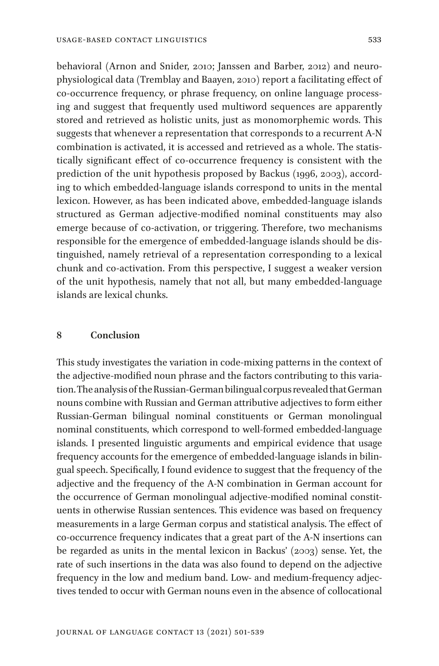behavioral (Arnon and Snider, 2010; Janssen and Barber, 2012) and neurophysiological data (Tremblay and Baayen, 2010) report a facilitating effect of co-occurrence frequency, or phrase frequency, on online language processing and suggest that frequently used multiword sequences are apparently stored and retrieved as holistic units, just as monomorphemic words. This suggests that whenever a representation that corresponds to a recurrent A-N combination is activated, it is accessed and retrieved as a whole. The statistically significant effect of co-occurrence frequency is consistent with the prediction of the unit hypothesis proposed by Backus (1996, 2003), according to which embedded-language islands correspond to units in the mental lexicon. However, as has been indicated above, embedded-language islands structured as German adjective-modified nominal constituents may also emerge because of co-activation, or triggering. Therefore, two mechanisms responsible for the emergence of embedded-language islands should be distinguished, namely retrieval of a representation corresponding to a lexical chunk and co-activation. From this perspective, I suggest a weaker version of the unit hypothesis, namely that not all, but many embedded-language islands are lexical chunks.

### **8 Conclusion**

This study investigates the variation in code-mixing patterns in the context of the adjective-modified noun phrase and the factors contributing to this variation. The analysis of the Russian-German bilingual corpus revealed that German nouns combine with Russian and German attributive adjectives to form either Russian-German bilingual nominal constituents or German monolingual nominal constituents, which correspond to well-formed embedded-language islands. I presented linguistic arguments and empirical evidence that usage frequency accounts for the emergence of embedded-language islands in bilingual speech. Specifically, I found evidence to suggest that the frequency of the adjective and the frequency of the A-N combination in German account for the occurrence of German monolingual adjective-modified nominal constituents in otherwise Russian sentences. This evidence was based on frequency measurements in a large German corpus and statistical analysis. The effect of co-occurrence frequency indicates that a great part of the A-N insertions can be regarded as units in the mental lexicon in Backus' (2003) sense. Yet, the rate of such insertions in the data was also found to depend on the adjective frequency in the low and medium band. Low- and medium-frequency adjectives tended to occur with German nouns even in the absence of collocational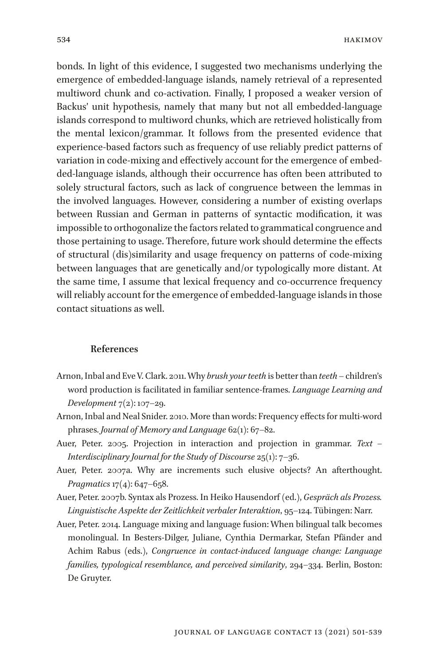bonds. In light of this evidence, I suggested two mechanisms underlying the emergence of embedded-language islands, namely retrieval of a represented multiword chunk and co-activation. Finally, I proposed a weaker version of Backus' unit hypothesis, namely that many but not all embedded-language islands correspond to multiword chunks, which are retrieved holistically from the mental lexicon/grammar. It follows from the presented evidence that experience-based factors such as frequency of use reliably predict patterns of variation in code-mixing and effectively account for the emergence of embedded-language islands, although their occurrence has often been attributed to solely structural factors, such as lack of congruence between the lemmas in the involved languages. However, considering a number of existing overlaps between Russian and German in patterns of syntactic modification, it was impossible to orthogonalize the factors related to grammatical congruence and those pertaining to usage. Therefore, future work should determine the effects of structural (dis)similarity and usage frequency on patterns of code-mixing between languages that are genetically and/or typologically more distant. At the same time, I assume that lexical frequency and co-occurrence frequency will reliably account for the emergence of embedded-language islands in those contact situations as well.

### **References**

- Arnon, Inbal and Eve V. Clark. 2011. Why *brush your teeth* is better than *teeth* children's word production is facilitated in familiar sentence-frames. *Language Learning and Development* 7(2): 107–29.
- Arnon, Inbal and Neal Snider. 2010. More than words: Frequency effects for multi-word phrases. *Journal of Memory and Language* 62(1): 67–82.
- Auer, Peter. 2005. Projection in interaction and projection in grammar. *Text Interdisciplinary Journal for the Study of Discourse* 25(1): 7–36.
- Auer, Peter. 2007a. Why are increments such elusive objects? An afterthought. *Pragmatics* 17(4): 647–658.
- Auer, Peter. 2007b. Syntax als Prozess. In Heiko Hausendorf (ed.), *Gespräch als Prozess. Linguistische Aspekte der Zeitlichkeit verbaler Interaktion*, 95–124. Tübingen: Narr.
- Auer, Peter. 2014. Language mixing and language fusion: When bilingual talk becomes monolingual. In Besters-Dilger, Juliane, Cynthia Dermarkar, Stefan Pfänder and Achim Rabus (eds.), *Congruence in contact-induced language change: Language families, typological resemblance, and perceived similarity*, 294–334. Berlin, Boston: De Gruyter.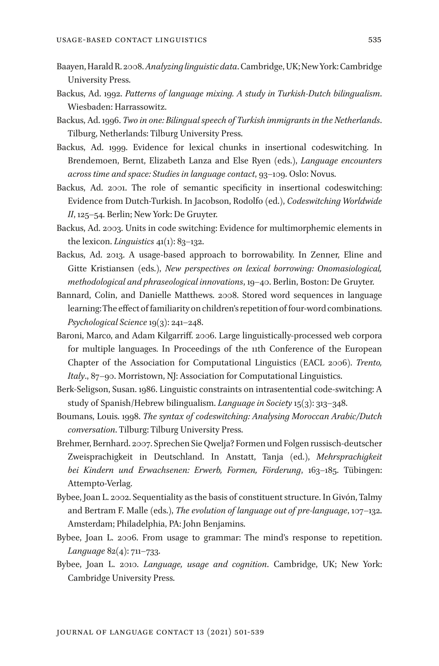- Baayen, Harald R. 2008. *Analyzing linguistic data*. Cambridge, UK; New York: Cambridge University Press.
- Backus, Ad. 1992. *Patterns of language mixing. A study in Turkish-Dutch bilingualism*. Wiesbaden: Harrassowitz.
- Backus, Ad. 1996. *Two in one: Bilingual speech of Turkish immigrants in the Netherlands*. Tilburg, Netherlands: Tilburg University Press.
- Backus, Ad. 1999. Evidence for lexical chunks in insertional codeswitching. In Brendemoen, Bernt, Elizabeth Lanza and Else Ryen (eds.), *Language encounters across time and space: Studies in language contact*, 93–109. Oslo: Novus.
- Backus, Ad. 2001. The role of semantic specificity in insertional codeswitching: Evidence from Dutch-Turkish. In Jacobson, Rodolfo (ed.), *Codeswitching Worldwide II*, 125–54. Berlin; New York: De Gruyter.
- Backus, Ad. 2003. Units in code switching: Evidence for multimorphemic elements in the lexicon. *Linguistics* 41(1): 83–132.
- Backus, Ad. 2013. A usage-based approach to borrowability. In Zenner, Eline and Gitte Kristiansen (eds.), *New perspectives on lexical borrowing: Onomasiological, methodological and phraseological innovations*, 19–40. Berlin, Boston: De Gruyter.
- Bannard, Colin, and Danielle Matthews. 2008. Stored word sequences in language learning: The effect of familiarity on children's repetition of four-word combinations. *Psychological Science* 19(3): 241–248.
- Baroni, Marco, and Adam Kilgarriff. 2006. Large linguistically-processed web corpora for multiple languages. In Proceedings of the 11th Conference of the European Chapter of the Association for Computational Linguistics (EACL 2006). *Trento, Italy*., 87–90. Morristown, NJ: Association for Computational Linguistics.
- Berk-Seligson, Susan. 1986. Linguistic constraints on intrasentential code-switching: A study of Spanish/Hebrew bilingualism. *Language in Society* 15(3): 313–348.
- Boumans, Louis. 1998. *The syntax of codeswitching: Analysing Moroccan Arabic/Dutch conversation*. Tilburg: Tilburg University Press.
- Brehmer, Bernhard. 2007. Sprechen Sie Qwelja? Formen und Folgen russisch-deutscher Zweisprachigkeit in Deutschland. In Anstatt, Tanja (ed.), *Mehrsprachigkeit bei Kindern und Erwachsenen: Erwerb, Formen, Förderung*, 163–185. Tübingen: Attempto-Verlag.
- Bybee, Joan L. 2002. Sequentiality as the basis of constituent structure. In Givón, Talmy and Bertram F. Malle (eds.), *The evolution of language out of pre-language*, 107–132. Amsterdam; Philadelphia, PA: John Benjamins.
- Bybee, Joan L. 2006. From usage to grammar: The mind's response to repetition. *Language* 82(4): 711–733.
- Bybee, Joan L. 2010. *Language, usage and cognition*. Cambridge, UK; New York: Cambridge University Press.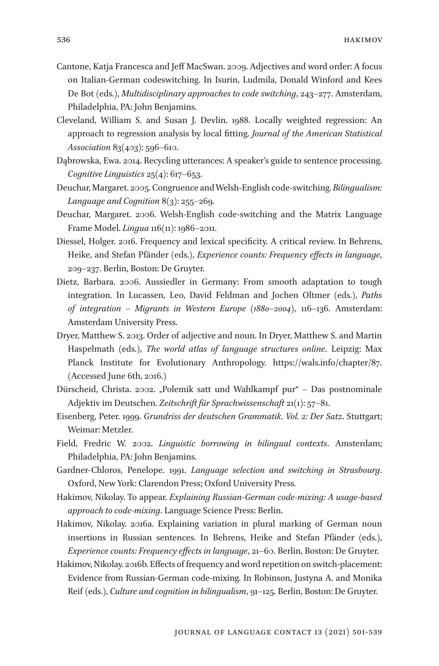- Cantone, Katja Francesca and Jeff MacSwan. 2009. Adjectives and word order: A focus on Italian-German codeswitching. In Isurin, Ludmila, Donald Winford and Kees De Bot (eds.), *Multidisciplinary approaches to code switching*, 243–277. Amsterdam, Philadelphia, PA: John Benjamins.
- Cleveland, William S. and Susan J. Devlin. 1988. Locally weighted regression: An approach to regression analysis by local fitting. *Journal of the American Statistical Association* 83(403): 596–610.
- Dąbrowska, Ewa. 2014. Recycling utterances: A speaker's guide to sentence processing. *Cognitive Linguistics* 25(4): 617–653.
- Deuchar, Margaret. 2005. Congruence and Welsh-English code-switching. *Bilingualism: Language and Cognition* 8(3): 255–269.
- Deuchar, Margaret. 2006. Welsh-English code-switching and the Matrix Language Frame Model. *Lingua* 116(11): 1986–2011.
- Diessel, Holger. 2016. Frequency and lexical specificity. A critical review. In Behrens, Heike, and Stefan Pfänder (eds.), *Experience counts: Frequency effects in language*, 209–237. Berlin, Boston: De Gruyter.
- Dietz, Barbara. 2006. Aussiedler in Germany: From smooth adaptation to tough integration. In Lucassen, Leo, David Feldman and Jochen Oltmer (eds.), *Paths of integration – Migrants in Western Europe (1880–2004)*, 116–136. Amsterdam: Amsterdam University Press.
- Dryer, Matthew S. 2013. Order of adjective and noun. In Dryer, Matthew S. and Martin Haspelmath (eds.), *The world atlas of language structures online*. Leipzig: Max Planck Institute for Evolutionary Anthropology. https://wals.info/chapter/87. (Accessed June 6th, 2016.)
- Dürscheid, Christa. 2002. "Polemik satt und Wahlkampf pur" Das postnominale Adjektiv im Deutschen. *Zeitschrift für Sprachwissenschaft* 21(1): 57–81.
- Eisenberg, Peter. 1999. *Grundriss der deutschen Grammatik*. *Vol. 2: Der Satz*. Stuttgart; Weimar: Metzler.
- Field, Fredric W. 2002. *Linguistic borrowing in bilingual contexts*. Amsterdam; Philadelphia, PA: John Benjamins.
- Gardner-Chloros, Penelope. 1991. *Language selection and switching in Strasbourg*. Oxford, New York: Clarendon Press; Oxford University Press.
- Hakimov, Nikolay. To appear. *Explaining Russian-German code-mixing: A usage-based approach to code-mixing*. Language Science Press: Berlin.
- Hakimov, Nikolay. 2016a. Explaining variation in plural marking of German noun insertions in Russian sentences. In Behrens, Heike and Stefan Pfänder (eds.), *Experience counts: Frequency effects in language*, 21–60. Berlin, Boston: De Gruyter.
- Hakimov, Nikolay. 2016b. Effects of frequency and word repetition on switch-placement: Evidence from Russian-German code-mixing. In Robinson, Justyna A. and Monika Reif (eds.), *Culture and cognition in bilingualism*, 91–125. Berlin, Boston: De Gruyter.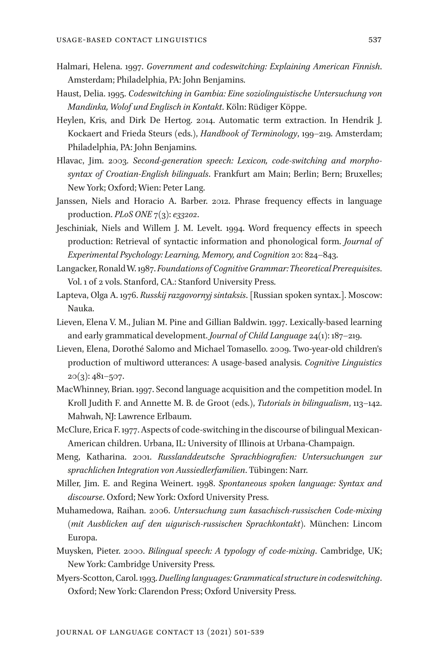- Halmari, Helena. 1997. *Government and codeswitching: Explaining American Finnish*. Amsterdam; Philadelphia, PA: John Benjamins.
- Haust, Delia. 1995. *Codeswitching in Gambia: Eine soziolinguistische Untersuchung von Mandinka, Wolof und Englisch in Kontakt*. Köln: Rüdiger Köppe.
- Heylen, Kris, and Dirk De Hertog. 2014. Automatic term extraction. In Hendrik J. Kockaert and Frieda Steurs (eds.), *Handbook of Terminology*, 199–219. Amsterdam; Philadelphia, PA: John Benjamins.
- Hlavac, Jim. 2003. *Second-generation speech: Lexicon, code-switching and morphosyntax of Croatian-English bilinguals*. Frankfurt am Main; Berlin; Bern; Bruxelles; New York; Oxford; Wien: Peter Lang.
- Janssen, Niels and Horacio A. Barber. 2012. Phrase frequency effects in language production. *PLoS ONE* 7(3): *e33202*.
- Jeschiniak, Niels and Willem J. M. Levelt. 1994. Word frequency effects in speech production: Retrieval of syntactic information and phonological form. *Journal of Experimental Psychology: Learning, Memory, and Cognition* 20: 824–843.
- Langacker, Ronald W. 1987. *Foundations of Cognitive Grammar: Theoretical Prerequisites*. Vol. 1 of 2 vols. Stanford, CA.: Stanford University Press.
- Lapteva, Olga A. 1976. *Russkij razgovornyj sintaksis*. [Russian spoken syntax.]. Moscow: Nauka.
- Lieven, Elena V. M., Julian M. Pine and Gillian Baldwin. 1997. Lexically-based learning and early grammatical development. *Journal of Child Language* 24(1): 187–219.
- Lieven, Elena, Dorothé Salomo and Michael Tomasello. 2009. Two-year-old children's production of multiword utterances: A usage-based analysis. *Cognitive Linguistics*  $20(3): 481 - 507.$
- MacWhinney, Brian. 1997. Second language acquisition and the competition model. In Kroll Judith F. and Annette M. B. de Groot (eds.), *Tutorials in bilingualism*, 113–142. Mahwah, NJ: Lawrence Erlbaum.
- McClure, Erica F. 1977. Aspects of code-switching in the discourse of bilingual Mexican-American children. Urbana, IL: University of Illinois at Urbana-Champaign.
- Meng, Katharina. 2001. *Russlanddeutsche Sprachbiografien: Untersuchungen zur sprachlichen Integration von Aussiedlerfamilien*. Tübingen: Narr.
- Miller, Jim. E. and Regina Weinert. 1998. *Spontaneous spoken language: Syntax and discourse*. Oxford; New York: Oxford University Press.
- Muhamedowa, Raihan. 2006. *Untersuchung zum kasachisch-russischen Code-mixing (mit Ausblicken auf den uigurisch-russischen Sprachkontakt)*. München: Lincom Europa.
- Muysken, Pieter. 2000. *Bilingual speech: A typology of code-mixing*. Cambridge, UK; New York: Cambridge University Press.
- Myers-Scotton, Carol. 1993. *Duelling languages: Grammatical structure in codeswitching*. Oxford; New York: Clarendon Press; Oxford University Press.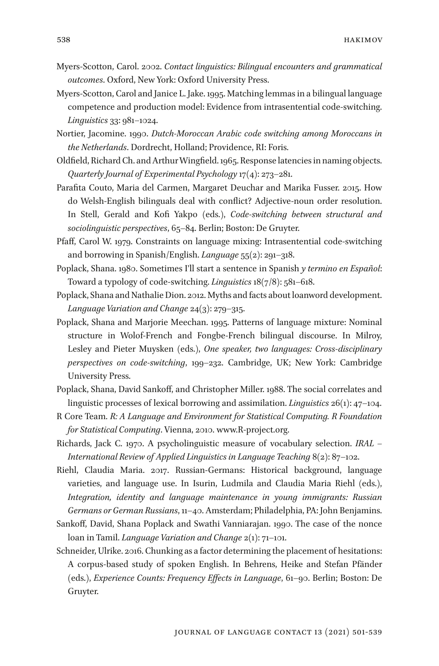- Myers-Scotton, Carol. 2002. *Contact linguistics: Bilingual encounters and grammatical outcomes*. Oxford, New York: Oxford University Press.
- Myers-Scotton, Carol and Janice L. Jake. 1995. Matching lemmas in a bilingual language competence and production model: Evidence from intrasentential code-switching. *Linguistics* 33: 981–1024.
- Nortier, Jacomine. 1990. *Dutch-Moroccan Arabic code switching among Moroccans in the Netherlands*. Dordrecht, Holland; Providence, RI: Foris.
- Oldfield, Richard Ch. and Arthur Wingfield. 1965. Response latencies in naming objects. *Quarterly Journal of Experimental Psychology* 17(4): 273–281.
- Parafita Couto, Maria del Carmen, Margaret Deuchar and Marika Fusser. 2015. How do Welsh-English bilinguals deal with conflict? Adjective-noun order resolution. In Stell, Gerald and Kofi Yakpo (eds.), *Code-switching between structural and sociolinguistic perspectives*, 65–84. Berlin; Boston: De Gruyter.
- Pfaff, Carol W. 1979. Constraints on language mixing: Intrasentential code-switching and borrowing in Spanish/English. *Language* 55(2): 291–318.
- Poplack, Shana. 1980. Sometimes I'll start a sentence in Spanish *y termino en Español*: Toward a typology of code-switching. *Linguistics* 18(7/8): 581–618.
- Poplack, Shana and Nathalie Dion. 2012. Myths and facts about loanword development. *Language Variation and Change* 24(3): 279–315.
- Poplack, Shana and Marjorie Meechan. 1995. Patterns of language mixture: Nominal structure in Wolof-French and Fongbe-French bilingual discourse. In Milroy, Lesley and Pieter Muysken (eds.), *One speaker, two languages: Cross-disciplinary perspectives on code-switching*, 199–232. Cambridge, UK; New York: Cambridge University Press.
- Poplack, Shana, David Sankoff, and Christopher Miller. 1988. The social correlates and linguistic processes of lexical borrowing and assimilation. *Linguistics* 26(1): 47–104.
- R Core Team. *R: A Language and Environment for Statistical Computing. R Foundation for Statistical Computing*. Vienna, 2010. www.R-project.org.
- Richards, Jack C. 1970. A psycholinguistic measure of vocabulary selection. *IRAL International Review of Applied Linguistics in Language Teaching* 8(2): 87–102.
- Riehl, Claudia Maria. 2017. Russian-Germans: Historical background, language varieties, and language use. In Isurin, Ludmila and Claudia Maria Riehl (eds.), *Integration, identity and language maintenance in young immigrants: Russian Germans or German Russians*, 11–40. Amsterdam; Philadelphia, PA: John Benjamins.
- Sankoff, David, Shana Poplack and Swathi Vanniarajan. 1990. The case of the nonce loan in Tamil. *Language Variation and Change* 2(1): 71–101.
- Schneider, Ulrike. 2016. Chunking as a factor determining the placement of hesitations: A corpus-based study of spoken English. In Behrens, Heike and Stefan Pfänder (eds.), *Experience Counts: Frequency Effects in Language*, 61–90. Berlin; Boston: De Gruyter.